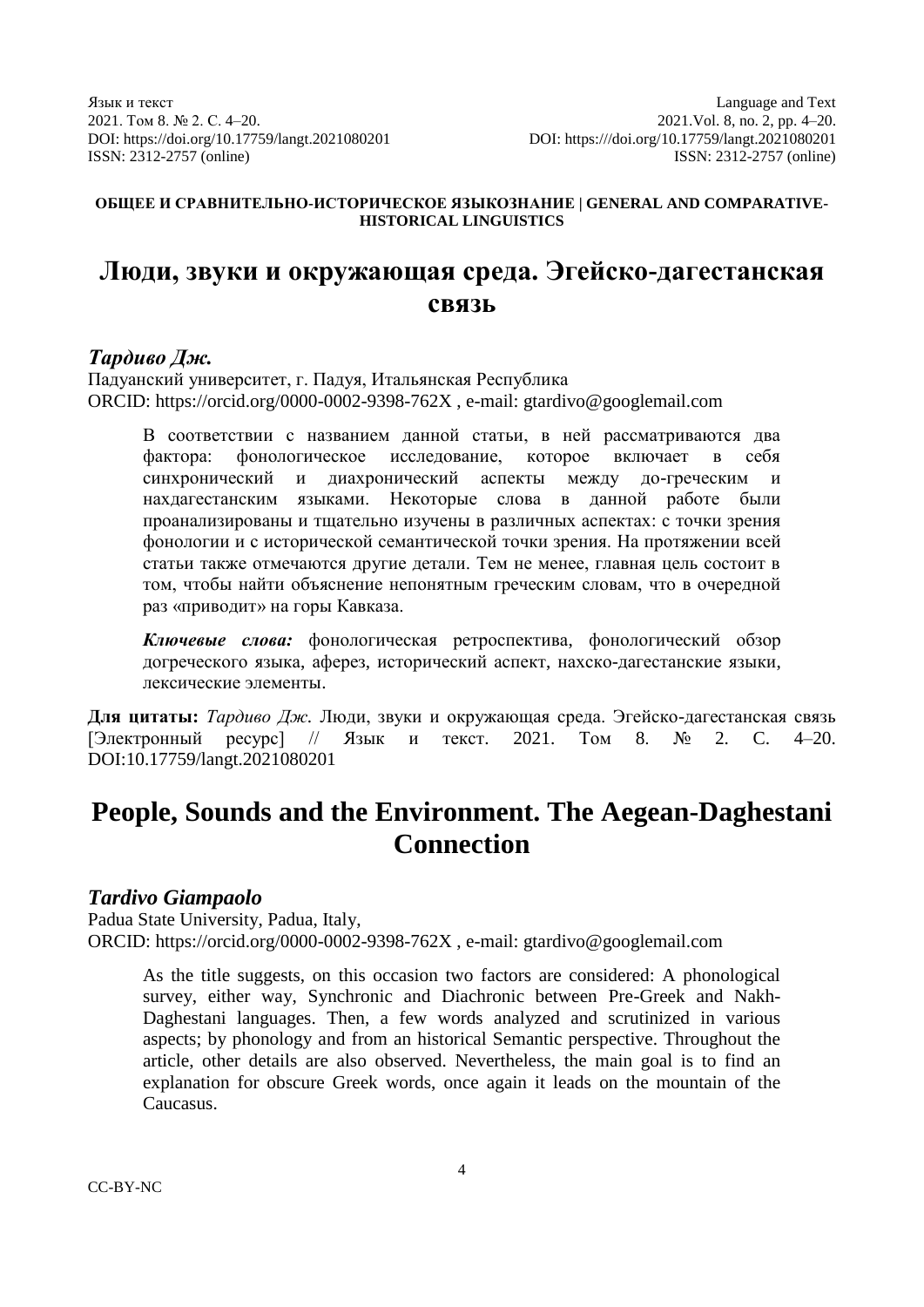## **ОБЩЕЕ И СРАВНИТЕЛЬНО-ИСТОРИЧЕСКОЕ ЯЗЫКОЗНАНИЕ | GENERAL AND COMPARATIVE-HISTORICAL LINGUISTICS**

# **Люди, звуки и окружающая среда. Эгейско-дагестанская связь**

# *Тардиво Дж.*

Падуанский университет, г. Падуя, Итальянская Республика ORCID: https://orcid.org/0000-0002-9398-762X , e-mail: gtardivo@googlemail.com

В соответствии с названием данной статьи, в ней рассматриваются два фактора: фонологическое исследование, которое включает в себя синхронический и диахронический аспекты между до-греческим и нахдагестанским языками. Некоторые слова в данной работе были проанализированы и тщательно изучены в различных аспектах: с точки зрения фонологии и с исторической семантической точки зрения. На протяжении всей статьи также отмечаются другие детали. Тем не менее, главная цель состоит в том, чтобы найти объяснение непонятным греческим словам, что в очередной раз «приводит» на горы Кавказа.

*Ключевые слова:* фонологическая ретроспектива, фонологический обзор догреческого языка, аферез, исторический аспект, нахско-дагестанские языки, лексические элементы.

**Для цитаты:** *Тардиво Дж.* Люди, звуки и окружающая среда. Эгейско-дагестанская связь [Электронный ресурс] // Язык и текст. 2021. Том 8. № 2. C. 4–20. DOI:10.17759/langt.2021080201

# **People, Sounds and the Environment. The Aegean-Daghestani Connection**

# *Tardivo Giampaolo*

Padua State University, Padua, Italy, ORCID: https://orcid.org/0000-0002-9398-762X , e-mail: gtardivo@googlemail.com

As the title suggests, on this occasion two factors are considered: A phonological survey, either way, Synchronic and Diachronic between Pre-Greek and Nakh-Daghestani languages. Then, a few words analyzed and scrutinized in various aspects; by phonology and from an historical Semantic perspective. Throughout the article, other details are also observed. Nevertheless, the main goal is to find an explanation for obscure Greek words, once again it leads on the mountain of the Caucasus.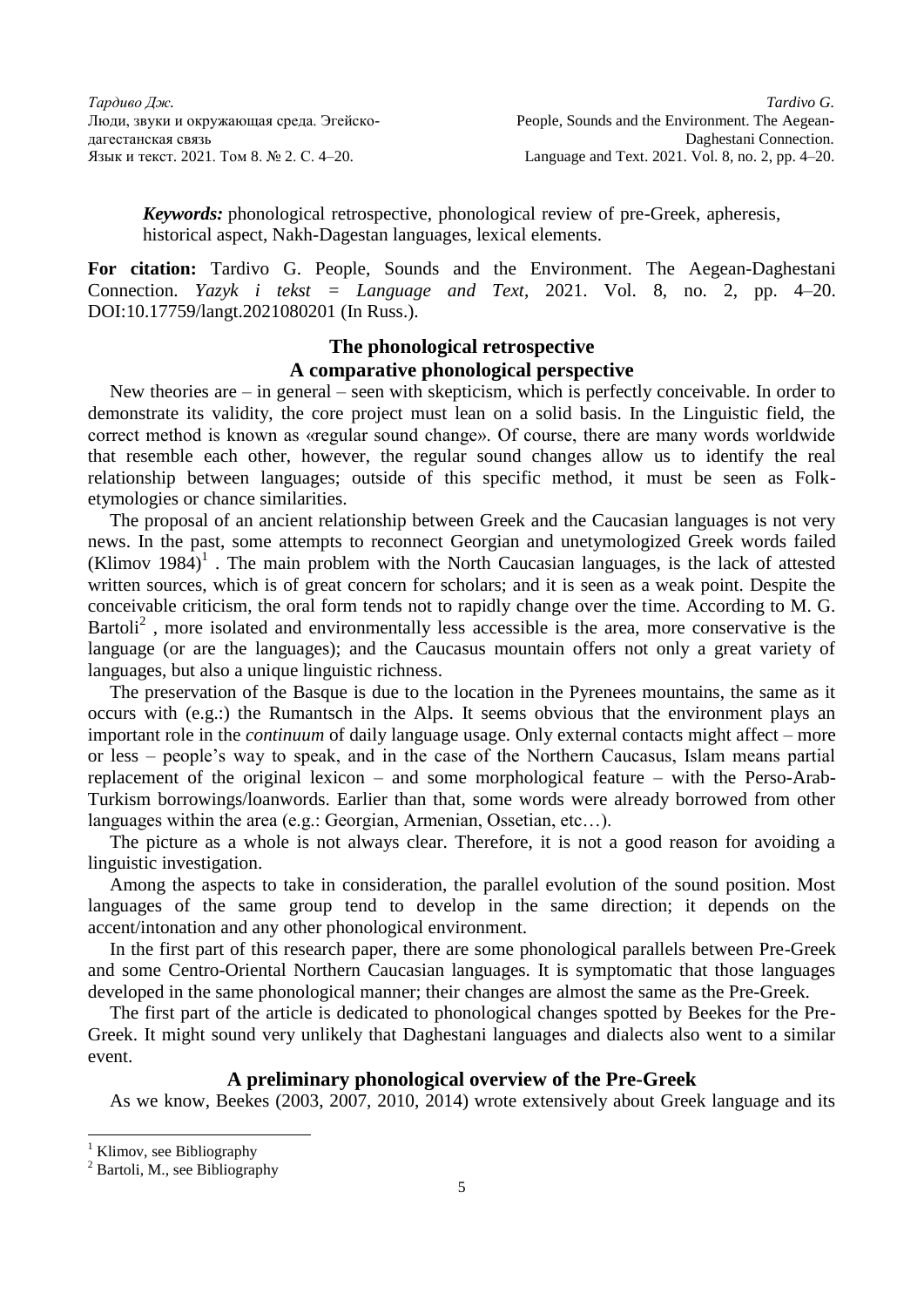*Keywords:* phonological retrospective, phonological review of pre-Greek, apheresis, historical aspect, Nakh-Dagestan languages, lexical elements.

**For citation:** Tardivo G. People, Sounds and the Environment. The Aegean-Daghestani Connection. *Yazyk i tekst = Language and Text*, 2021. Vol. 8, no. 2, pp. 4–20. DOI:10.17759/langt.2021080201 (In Russ.).

## **The phonological retrospective A comparative phonological perspective**

New theories are – in general – seen with skepticism, which is perfectly conceivable. In order to demonstrate its validity, the core project must lean on a solid basis. In the Linguistic field, the correct method is known as «regular sound change». Of course, there are many words worldwide that resemble each other, however, the regular sound changes allow us to identify the real relationship between languages; outside of this specific method, it must be seen as Folketymologies or chance similarities.

The proposal of an ancient relationship between Greek and the Caucasian languages is not very news. In the past, some attempts to reconnect Georgian and unetymologized Greek words failed (Klimov 1984)<sup>1</sup>. The main problem with the North Caucasian languages, is the lack of attested written sources, which is of great concern for scholars; and it is seen as a weak point. Despite the conceivable criticism, the oral form tends not to rapidly change over the time. According to M. G. Bartoli<sup>2</sup>, more isolated and environmentally less accessible is the area, more conservative is the language (or are the languages); and the Caucasus mountain offers not only a great variety of languages, but also a unique linguistic richness.

The preservation of the Basque is due to the location in the Pyrenees mountains, the same as it occurs with (e.g.:) the Rumantsch in the Alps. It seems obvious that the environment plays an important role in the *continuum* of daily language usage. Only external contacts might affect – more or less – people's way to speak, and in the case of the Northern Caucasus, Islam means partial replacement of the original lexicon – and some morphological feature – with the Perso-Arab-Turkism borrowings/loanwords. Earlier than that, some words were already borrowed from other languages within the area (e.g.: Georgian, Armenian, Ossetian, etc…).

The picture as a whole is not always clear. Therefore, it is not a good reason for avoiding a linguistic investigation.

Among the aspects to take in consideration, the parallel evolution of the sound position. Most languages of the same group tend to develop in the same direction; it depends on the accent/intonation and any other phonological environment.

In the first part of this research paper, there are some phonological parallels between Pre-Greek and some Centro-Oriental Northern Caucasian languages. It is symptomatic that those languages developed in the same phonological manner; their changes are almost the same as the Pre-Greek.

The first part of the article is dedicated to phonological changes spotted by Beekes for the Pre-Greek. It might sound very unlikely that Daghestani languages and dialects also went to a similar event.

## **A preliminary phonological overview of the Pre-Greek**

As we know, Beekes (2003, 2007, 2010, 2014) wrote extensively about Greek language and its

Klimov, see Bibliography

Bartoli, M., see Bibliography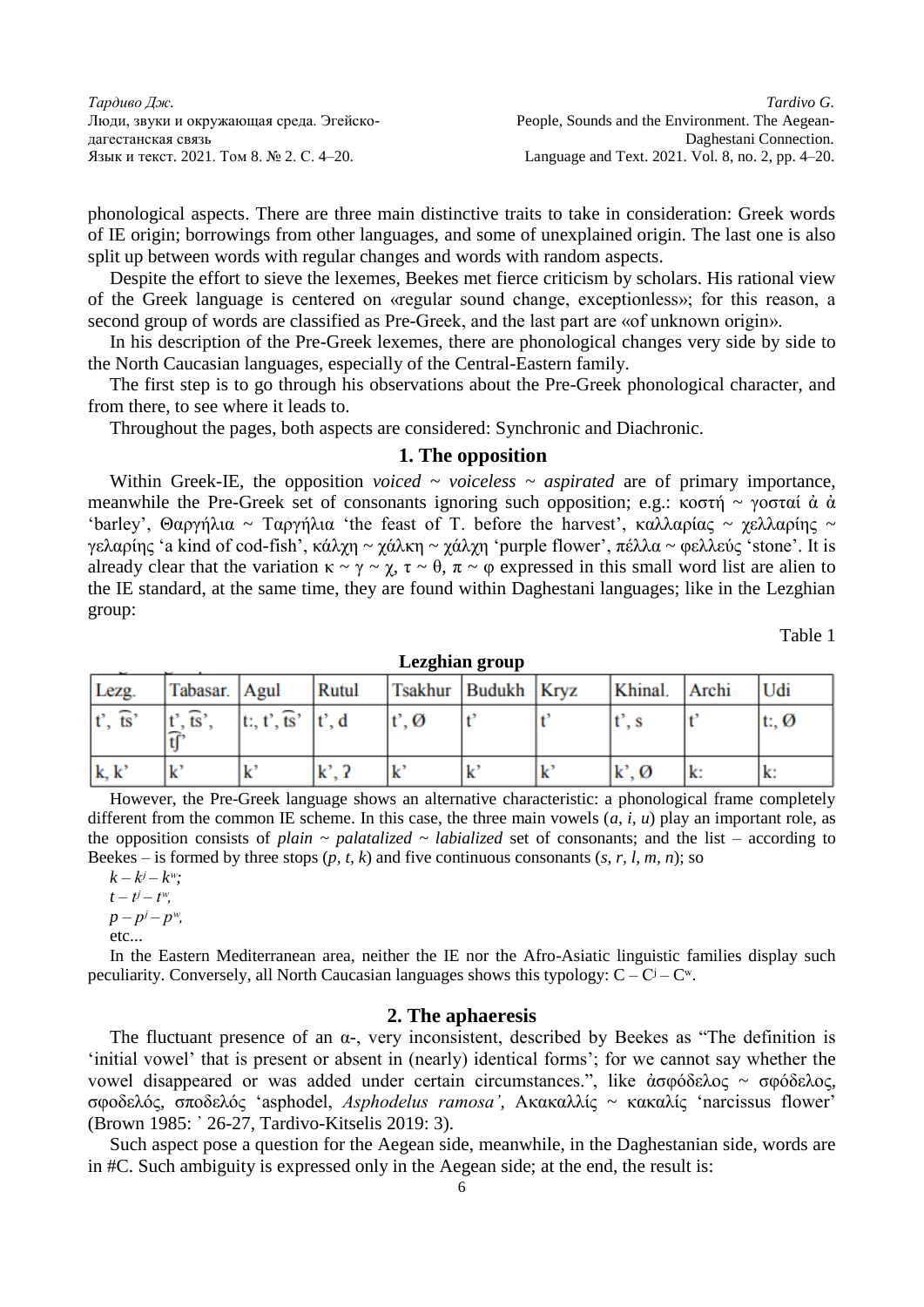phonological aspects. There are three main distinctive traits to take in consideration: Greek words of IE origin; borrowings from other languages, and some of unexplained origin. The last one is also split up between words with regular changes and words with random aspects.

Despite the effort to sieve the lexemes, Beekes met fierce criticism by scholars. His rational view of the Greek language is centered on «regular sound change, exceptionless»; for this reason, a second group of words are classified as Pre-Greek, and the last part are «of unknown origin».

In his description of the Pre-Greek lexemes, there are phonological changes very side by side to the North Caucasian languages, especially of the Central-Eastern family.

The first step is to go through his observations about the Pre-Greek phonological character, and from there, to see where it leads to.

Throughout the pages, both aspects are considered: Synchronic and Diachronic.

### **1. The opposition**

Within Greek-IE, the opposition *voiced ~ voiceless ~ aspirated* are of primary importance, meanwhile the Pre-Greek set of consonants ignoring such opposition; e.g.: κοστή ~ γοσταί ά ά 'barley', Θαργήλια ~ Ταργήλια 'the feast of T. before the harvest', καλλαρίας ~ χελλαρίης ~ γελαρίης 'a kind of cod-fish', κάλχη ~ χάλκη ~ χάλχη 'purple flower', πέλλα ~ φελλεύς 'stone'. It is already clear that the variation  $\kappa \sim \gamma \sim \chi$ ,  $\tau \sim \theta$ ,  $\pi \sim \varphi$  expressed in this small word list are alien to the IE standard, at the same time, they are found within Daghestani languages; like in the Lezghian group:

Table 1

| Lezghian group |                                             |  |  |  |  |  |
|----------------|---------------------------------------------|--|--|--|--|--|
| հոքով          | $T_{\text{eabhur}}$ Rudukh $K_{\text{ruz}}$ |  |  |  |  |  |

| Lezg.                | Tabasar. Agul         |                       | Rutul       |                 | Tsakhur Budukh Kryz | Khinal. Archi                                                                                                           |    | Udi             |
|----------------------|-----------------------|-----------------------|-------------|-----------------|---------------------|-------------------------------------------------------------------------------------------------------------------------|----|-----------------|
| $t', \overline{ts}'$ | $t', \overline{ts}',$ | t:, t', ts' $ t', d $ |             | $t', \emptyset$ |                     | t', s                                                                                                                   |    | $ t, \emptyset$ |
|                      |                       |                       |             |                 |                     |                                                                                                                         |    |                 |
| k, k'                | $\mathbf{k}$          | $\mathbf{k}$          | $k^2$ , $2$ | k               | A                   | $\mathbf{k}^{\prime},\mathcal{O}% _{\mathbf{u}}^{\prime\prime}\mathbf{u}^{\prime\prime}\mathbf{v}^{\prime\prime\prime}$ | k: | lk:             |

However, the Pre-Greek language shows an alternative characteristic: a phonological frame completely different from the common IE scheme. In this case, the three main vowels (*a, i, u*) play an important role, as the opposition consists of *plain ~ palatalized ~ labialized* set of consonants; and the list – according to Beekes – is formed by three stops (*p, t, k*) and five continuous consonants (*s, r, l, m, n*); so

 $k - k^j - k^w$ ;

 $t - t^j - t^w$  $p - p^j - p^w$ ,

etc...

In the Eastern Mediterranean area, neither the IE nor the Afro-Asiatic linguistic families display such peculiarity. Conversely, all North Caucasian languages shows this typology:  $C - C^j - C^w$ .

## **2. The aphaeresis**

The fluctuant presence of an  $\alpha$ -, very inconsistent, described by Beekes as "The definition is 'initial vowel' that is present or absent in (nearly) identical forms'; for we cannot say whether the vowel disappeared or was added under certain circumstances.", like ἀσφόδελος ~ σφόδελος, σφοδελός, σποδελός 'asphodel, *Asphodelus ramosa'*, Ακακαλλίς ~ κακαλίς 'narcissus flower' (Brown 1985: ᾿ 26-27, Tardivo-Kitselis 2019: 3).

Such aspect pose a question for the Aegean side, meanwhile, in the Daghestanian side, words are in #C. Such ambiguity is expressed only in the Aegean side; at the end, the result is: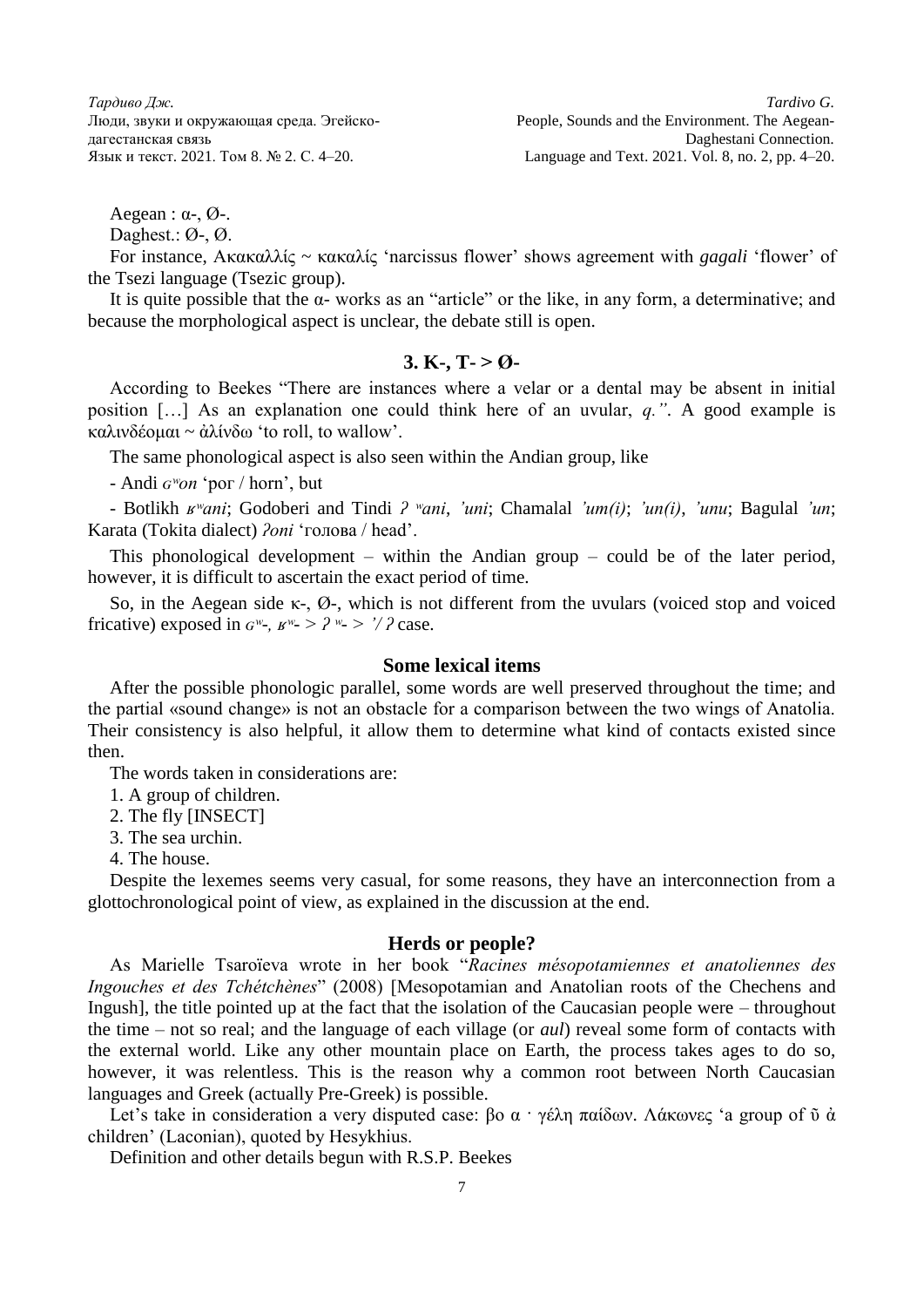$Aegean : \alpha_{\mathsf{B}} \mathcal{O}_{\mathsf{B}}$ .

Daghest.: Ø-, Ø.

For instance, Ακακαλλίς ~ κακαλίς 'narcissus flower' shows agreement with *gagali* 'flower' of the Tsezi language (Tsezic group).

It is quite possible that the  $\alpha$ - works as an "article" or the like, in any form, a determinative; and because the morphological aspect is unclear, the debate still is open.

## 3. K-, T- $> 0$

According to Beekes "There are instances where a velar or a dental may be absent in initial position […] As an explanation one could think here of an uvular, *q."*. A good example is καλινδέομαι ~ ἀλίνδω 'to roll, to wallow'.

The same phonological aspect is also seen within the Andian group, like

- Andi *ɢʷon* 'рог / horn', but

- Botlikh *ʁʷani*; Godoberi and Tindi *ʔ ʷani*, *'uni*; Chamalal *'um(i)*; *'un(i)*, *'unu*; Bagulal *'un*; Karata (Tokita dialect) *ʔoni* 'голова / head'.

This phonological development – within the Andian group – could be of the later period, however, it is difficult to ascertain the exact period of time.

So, in the Aegean side κ-, Ø-, which is not different from the uvulars (voiced stop and voiced fricative) exposed in  $G^w$ -,  $B^w$ - >  $?^w$ - >  $?^2$  case.

## **Some lexical items**

After the possible phonologic parallel, some words are well preserved throughout the time; and the partial «sound change» is not an obstacle for a comparison between the two wings of Anatolia. Their consistency is also helpful, it allow them to determine what kind of contacts existed since then.

The words taken in considerations are:

1. A group of children.

2. The fly [INSECT]

3. The sea urchin.

4. The house.

Despite the lexemes seems very casual, for some reasons, they have an interconnection from a glottochronological point of view, as explained in the discussion at the end.

#### **Herds or people?**

As Marielle Tsaroïeva wrote in her book "*Racines mésopotamiennes et anatoliennes des Ingouches et des Tchétchènes*" (2008) [Mesopotamian and Anatolian roots of the Chechens and Ingush], the title pointed up at the fact that the isolation of the Caucasian people were – throughout the time – not so real; and the language of each village (or *aul*) reveal some form of contacts with the external world. Like any other mountain place on Earth, the process takes ages to do so, however, it was relentless. This is the reason why a common root between North Caucasian languages and Greek (actually Pre-Greek) is possible.

Let's take in consideration a very disputed case: βο α · γέλη παίδων. Λάκωνες 'a group of ῦ ἀ children' (Laconian), quoted by Hesykhius.

Definition and other details begun with R.S.P. Beekes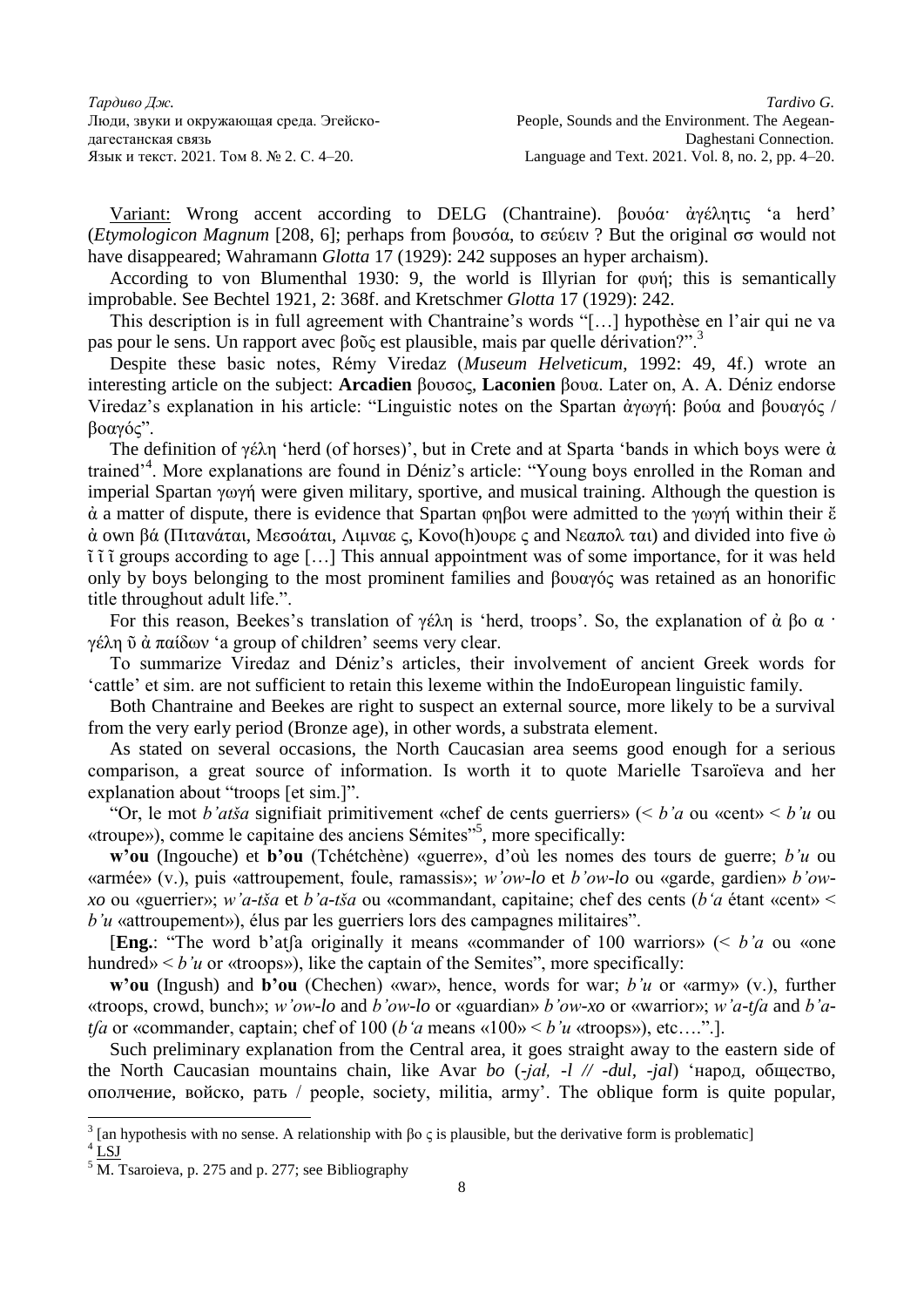Variant: Wrong accent according to DELG (Chantraine). βουόα· ἀγέλητις 'a herd' (*Etymologicon Magnum* [208, 6]; perhaps from βουσόα, to σεύειν ? But the original σσ would not have disappeared; Wahramann *Glotta* 17 (1929): 242 supposes an hyper archaism).

According to von Blumenthal 1930: 9, the world is Illyrian for φυή; this is semantically improbable. See Bechtel 1921, 2: 368f. and Kretschmer *Glotta* 17 (1929): 242.

This description is in full agreement with Chantraine's words "[…] hypothèse en l'air qui ne va pas pour le sens. Un rapport avec βοῦς est plausible, mais par quelle dérivation?".<sup>3</sup>

Despite these basic notes, Rémy Viredaz (*Museum Helveticum*, 1992: 49, 4f.) wrote an interesting article on the subject: **Arcadien** βουσος, **Laconien** βουα. Later on, A. A. Déniz endorse Viredaz's explanation in his article: "Linguistic notes on the Spartan ἀγωγή: βούα and βουαγός / βοαγός".

The definition of γέλη 'herd (of horses)', but in Crete and at Sparta 'bands in which boys were ἀ trained<sup>24</sup>. More explanations are found in Déniz's article: "Young boys enrolled in the Roman and imperial Spartan γωγή were given military, sportive, and musical training. Although the question is  $\dot{\alpha}$  a matter of dispute, there is evidence that Spartan φηβοι were admitted to the γωγή within their  $\ddot{\epsilon}$ ά own βά (Πιτανάται, Μεσοάται, Λιμναε ς, Κονο(h)ουρε ς and Νεαπολ ται) and divided into five  $\dot{\omega}$ ῖ ῖ ῖ groups according to age […] This annual appointment was of some importance, for it was held only by boys belonging to the most prominent families and βουαγός was retained as an honorific title throughout adult life.".

For this reason, Beekes's translation of γέλη is 'herd, troops'. So, the explanation of ἀ βο α · γέλη ῦ ἀ παίδων 'a group of children' seems very clear.

To summarize Viredaz and Déniz's articles, their involvement of ancient Greek words for 'cattle' et sim. are not sufficient to retain this lexeme within the IndoEuropean linguistic family.

Both Chantraine and Beekes are right to suspect an external source, more likely to be a survival from the very early period (Bronze age), in other words, a substrata element.

As stated on several occasions, the North Caucasian area seems good enough for a serious comparison, a great source of information. Is worth it to quote Marielle Tsaroïeva and her explanation about "troops [et sim.]".

"Or, le mot *b'atša* signifiait primitivement «chef de cents guerriers» (< *b'a* ou «cent» < *b'u* ou «troupe»), comme le capitaine des anciens Sémites"<sup>5</sup> , more specifically:

**w'ou** (Ingouche) et **b'ou** (Tchétchène) «guerre», d'où les nomes des tours de guerre; *b'u* ou «armée» (v.), puis «attroupement, foule, ramassis»; *w'ow-lo* et *b'ow-lo* ou «garde, gardien» *b'owxo* ou «guerrier»; *w'a-tša* et *b'a-tša* ou «commandant, capitaine; chef des cents (*b'a* étant «cent» < *b'u* «attroupement»), élus par les guerriers lors des campagnes militaires".

[**Eng.**: "The word b'atʃа originally it means «commander of 100 warriors» (< *b'a* ou «one hundred»  $\leq b'u$  or «troops»), like the captain of the Semites", more specifically:

**w'ou** (Ingush) and **b'ou** (Chechen) «war», hence, words for war; *b'u* or «army» (v.), further «troops, crowd, bunch»; *w'ow-lo* and *b'ow-lo* or «guardian» *b'ow-xo* or «warrior»; *w'a-tʃа* and *b'atfa* or «commander, captain; chef of 100 (*b'a* means «100»  $\lt b'u$  «troops»), etc….".].

Such preliminary explanation from the Central area, it goes straight away to the eastern side of the North Caucasian mountains chain, like Avar *bo* (-*jaɬ, -l // -dul, -jal*) 'народ, общество, ополчение, войско, рать / people, society, militia, army'. The oblique form is quite popular,

<sup>&</sup>lt;sup>3</sup> [an hypothesis with no sense. A relationship with βος is plausible, but the derivative form is problematic] <sup>4</sup> LSJ

 $5\overline{\mathrm{M}}$ . Tsaroieva, p. 275 and p. 277; see Bibliography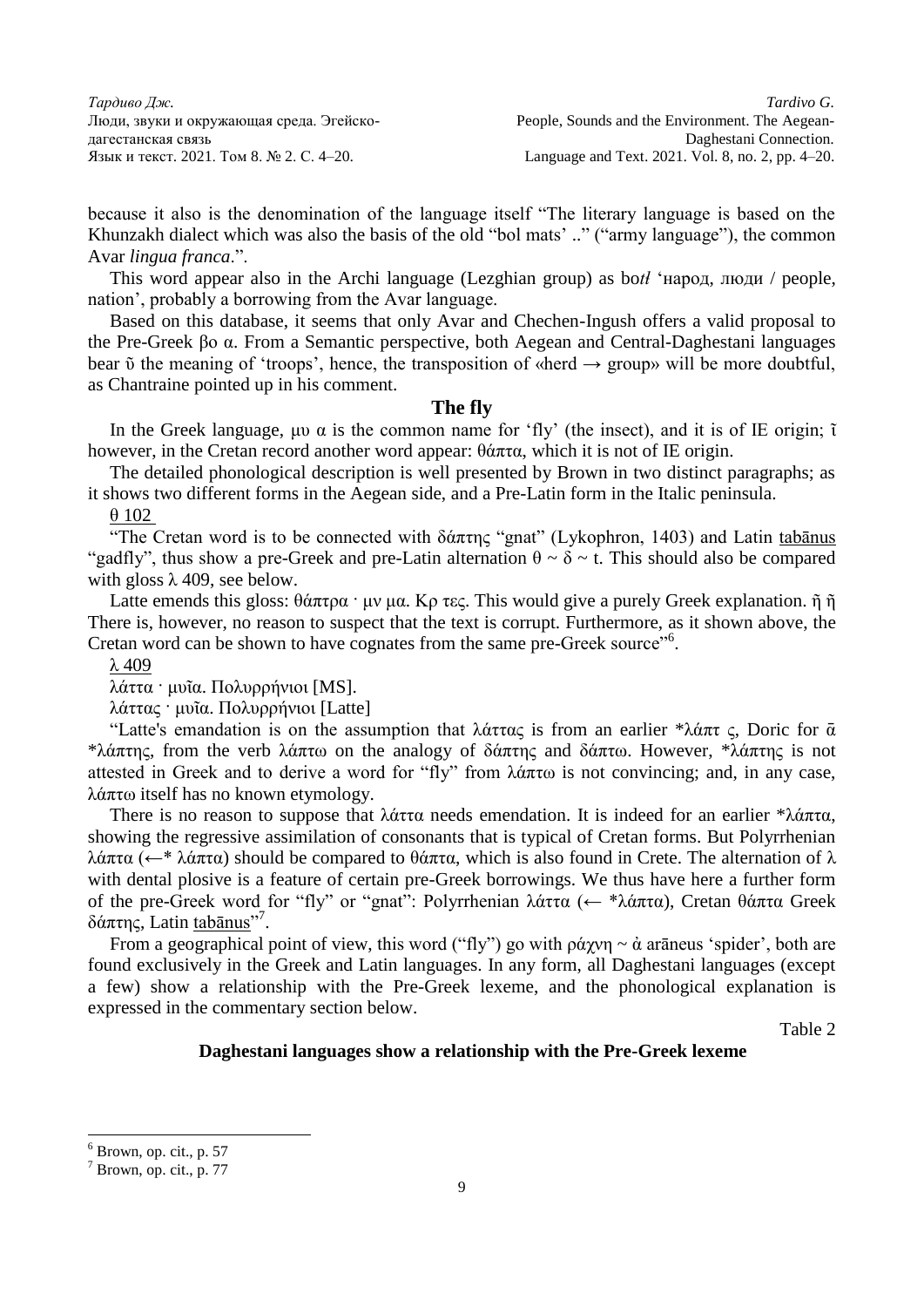because it also is the denomination of the language itself "The literary language is based on the Khunzakh dialect which was also the basis of the old "bol mats' .." ("army language"), the common Avar *lingua franca*.".

This word appear also in the Archi language (Lezghian group) as bo*tɬ* 'народ, люди / people, nation', probably a borrowing from the Avar language.

Based on this database, it seems that only Avar and Chechen-Ingush offers a valid proposal to the Pre-Greek βο α. From a Semantic perspective, both Aegean and Central-Daghestani languages bear  $\tilde{\upsilon}$  the meaning of 'troops', hence, the transposition of «herd  $\rightarrow$  group» will be more doubtful, as Chantraine pointed up in his comment.

#### **The fly**

In the Greek language, μυ  $\alpha$  is the common name for 'fly' (the insect), and it is of IE origin;  $\tilde{\iota}$ however, in the Cretan record another word appear: θάπτα, which it is not of IE origin.

The detailed phonological description is well presented by Brown in two distinct paragraphs; as it shows two different forms in the Aegean side, and a Pre-Latin form in the Italic peninsula.

θ 102

"The Cretan word is to be connected with  $\delta \alpha \pi \eta \zeta$  "gnat" (Lykophron, 1403) and Latin tabanus "gadfly", thus show a pre-Greek and pre-Latin alternation  $\theta \sim \delta \sim t$ . This should also be compared with gloss  $\lambda$  409, see below.

Latte emends this gloss: θάπτρα · μν μα. Κρ τες. This would give a purely Greek explanation. ῆ ῆ There is, however, no reason to suspect that the text is corrupt. Furthermore, as it shown above, the Cretan word can be shown to have cognates from the same pre-Greek source"<sup>6</sup>.

λ 409

λάττα · μυῖα. Πολυρρήνιοι [MS].

λάττας · μυῖα. Πολυρρήνιοι [Latte]

"Latte's emandation is on the assumption that λάττας is from an earlier \*λάπτ ς, Doric for  $\bar{\alpha}$ \*λάπτης, from the verb λάπτω on the analogy of δάπτης and δάπτω. However, \*λάπτης is not attested in Greek and to derive a word for "fly" from λάπτω is not convincing; and, in any case, λάπτω itself has no known etymology.

There is no reason to suppose that λάττα needs emendation. It is indeed for an earlier \*λάπτα, showing the regressive assimilation of consonants that is typical of Cretan forms. But Polyrrhenian λάπτα (←\* λάπτα) should be compared to θάπτα, which is also found in Crete. The alternation of λ with dental plosive is a feature of certain pre-Greek borrowings. We thus have here a further form of the pre-Greek word for "fly" or "gnat": Polyrrhenian λάττα (← \*λάπτα), Cretan θάπτα Greek δάπτης, Latin tabānus"<sup>7</sup>.

From a geographical point of view, this word ("fly") go with ράχνη  $\sim$  ά arāneus 'spider', both are found exclusively in the Greek and Latin languages. In any form, all Daghestani languages (except a few) show a relationship with the Pre-Greek lexeme, and the phonological explanation is expressed in the commentary section below.

Table 2

### **Daghestani languages show a relationship with the Pre-Greek lexeme**

 $6$  Brown, op. cit., p. 57

 $<sup>7</sup>$  Brown, op. cit., p. 77</sup>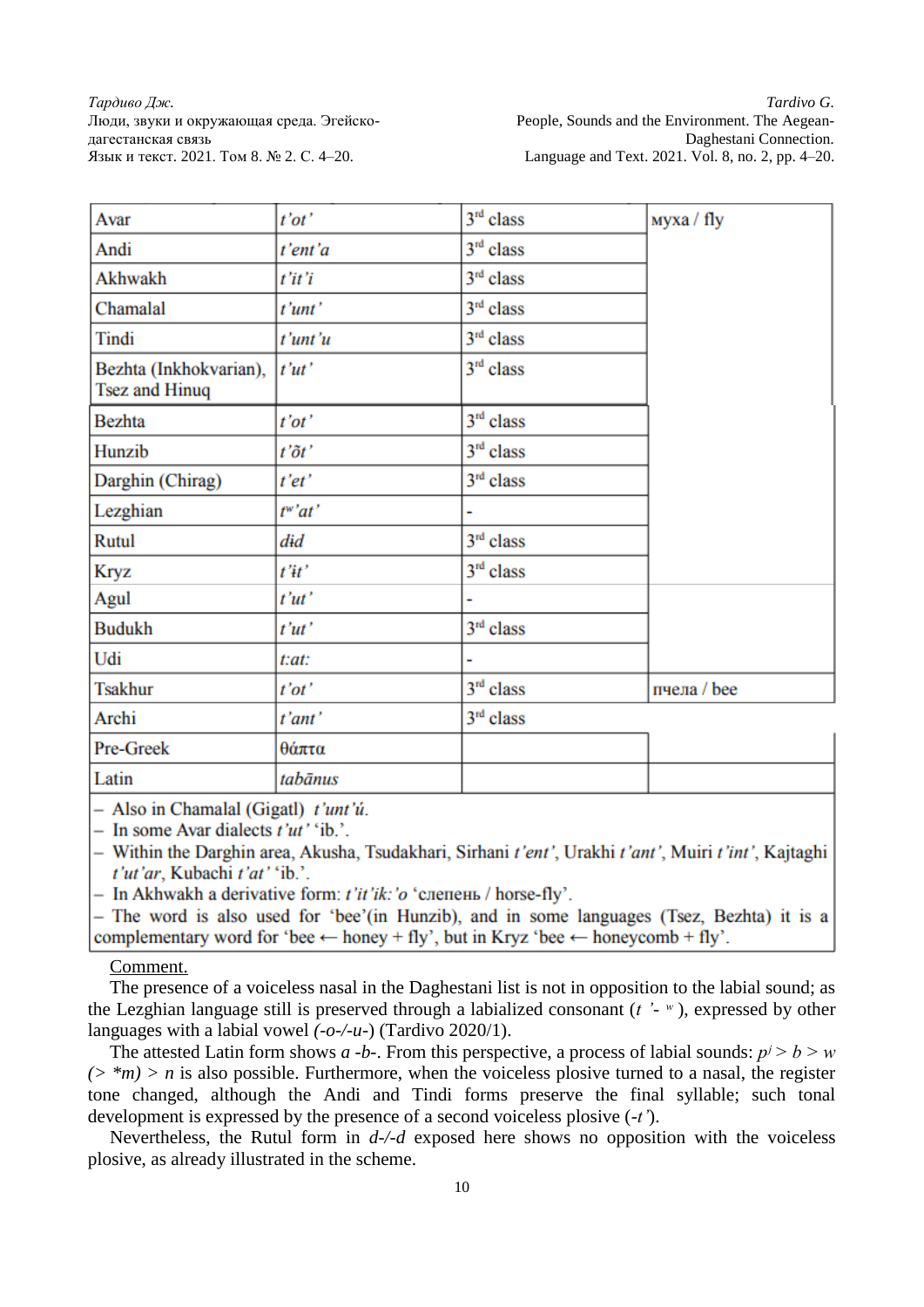| Avar                                            | $t'$ ot'             | $3rd$ class | муха / fly  |
|-------------------------------------------------|----------------------|-------------|-------------|
| Andi                                            | t'ent'a              | $3rd$ class |             |
| Akhwakh                                         | t'it'i               | $3rd$ class |             |
| Chamalal                                        | t'unt'               | $3rd$ class |             |
| Tindi                                           | t'unt'u              | $3rd$ class |             |
| Bezhta (Inkhokvarian),<br><b>Tsez and Hinuq</b> | t'ut'                | $3rd$ class |             |
| <b>Bezhta</b>                                   | $t'$ ot'             | $3rd$ class |             |
| Hunzib                                          | $t'\tilde{o}t'$      | $3rd$ class |             |
| Darghin (Chirag)                                | t'et'                | $3rd$ class |             |
| Lezghian                                        | $t^{\mathbf{w'}}at'$ |             |             |
| Rutul                                           | did                  | $3rd$ class |             |
| <b>Kryz</b>                                     | $t''$ it'            | $3rd$ class |             |
| Agul                                            | t'ut'                |             |             |
| <b>Budukh</b>                                   | t'ut'                | $3rd$ class |             |
| Udi                                             | t:at:                |             |             |
| <b>Tsakhur</b>                                  | t'ot'                | $3rd$ class | пчела / bee |
| Archi                                           | t'ant'               | $3rd$ class |             |
| Pre-Greek                                       | θάπτα                |             |             |
| Latin                                           | tabānus              |             |             |

 $-$  Also in Chamalal (Gigatl) t'unt'ú.

- In some Avar dialects  $t'ut'$  'ib.'.

- Within the Darghin area, Akusha, Tsudakhari, Sirhani t'ent', Urakhi t'ant', Muiri t'int', Kajtaghi t'ut'ar, Kubachi t'at' 'ib.'.

- In Akhwakh a derivative form:  $t'$ it'ik: 'o 'слепень / horse-fly'.

- The word is also used for 'bee'(in Hunzib), and in some languages (Tsez, Bezhta) it is a complementary word for 'bee  $\leftarrow$  honey + fly', but in Kryz 'bee  $\leftarrow$  honeycomb + fly'.

## Comment.

The presence of a voiceless nasal in the Daghestani list is not in opposition to the labial sound; as the Lezghian language still is preserved through a labialized consonant (*t '- ʷ* ), expressed by other languages with a labial vowel *(-o-/-u-*) (Tardivo 2020/1).

The attested Latin form shows *a* -*b*-. From this perspective, a process of labial sounds:  $p^j > b > w$  $(>$ <sup>\*</sup> $m$ ) > *n* is also possible. Furthermore, when the voiceless plosive turned to a nasal, the register tone changed, although the Andi and Tindi forms preserve the final syllable; such tonal development is expressed by the presence of a second voiceless plosive (*-t'*).

Nevertheless, the Rutul form in *d-/-d* exposed here shows no opposition with the voiceless plosive, as already illustrated in the scheme.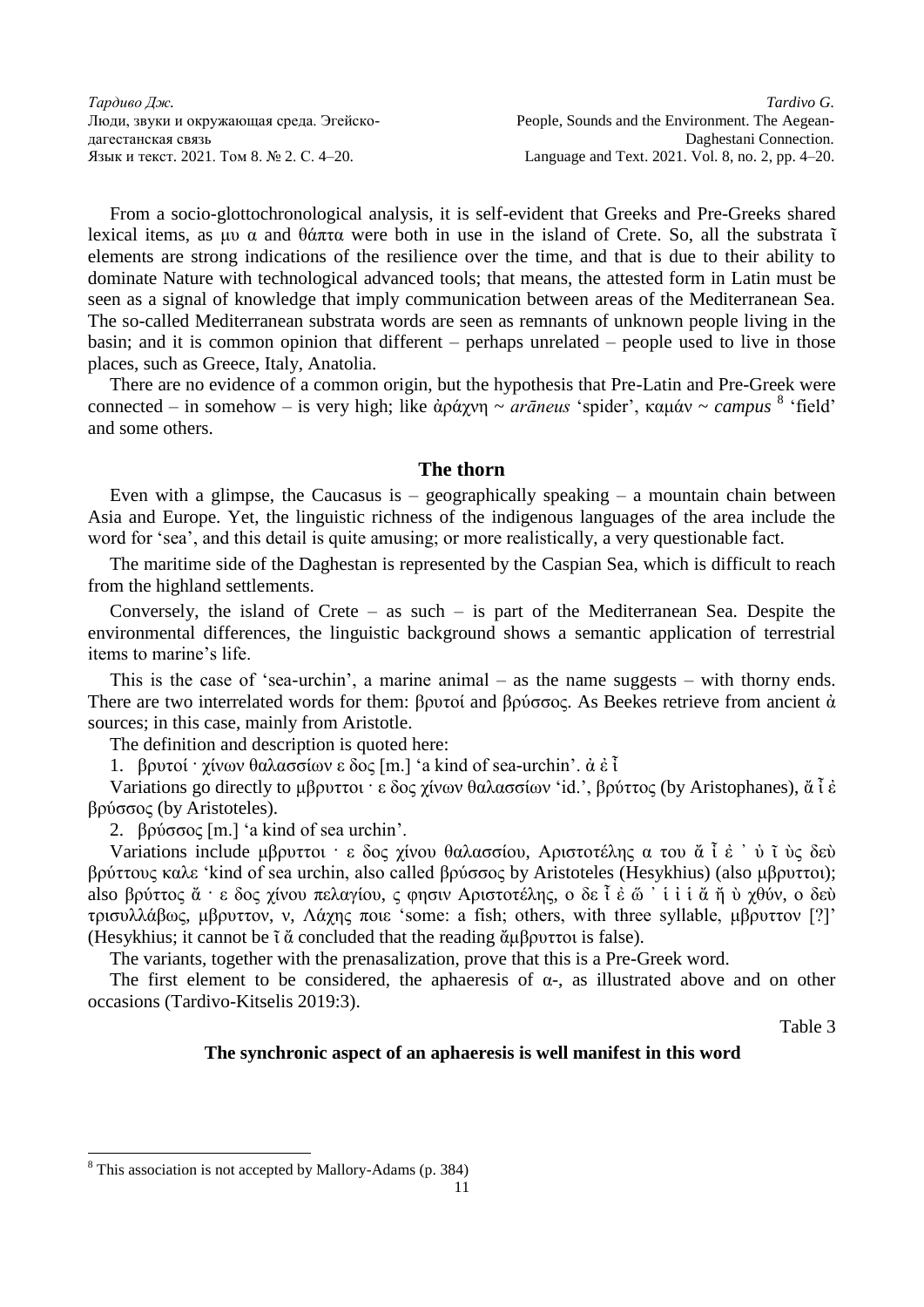From a socio-glottochronological analysis, it is self-evident that Greeks and Pre-Greeks shared lexical items, as μυ α and θάπτα were both in use in the island of Crete. So, all the substrata  $\tilde{\iota}$ elements are strong indications of the resilience over the time, and that is due to their ability to dominate Nature with technological advanced tools; that means, the attested form in Latin must be seen as a signal of knowledge that imply communication between areas of the Mediterranean Sea. The so-called Mediterranean substrata words are seen as remnants of unknown people living in the basin; and it is common opinion that different – perhaps unrelated – people used to live in those places, such as Greece, Italy, Anatolia.

There are no evidence of a common origin, but the hypothesis that Pre-Latin and Pre-Greek were connected – in somehow – is very high; like ἀράχνη ~ *arāneus* 'spider', καμάν ~ *campus* 8 'field' and some others.

## **The thorn**

Even with a glimpse, the Caucasus is  $-$  geographically speaking  $-$  a mountain chain between Asia and Europe. Yet, the linguistic richness of the indigenous languages of the area include the word for 'sea', and this detail is quite amusing; or more realistically, a very questionable fact.

The maritime side of the Daghestan is represented by the Caspian Sea, which is difficult to reach from the highland settlements.

Conversely, the island of Crete – as such – is part of the Mediterranean Sea. Despite the environmental differences, the linguistic background shows a semantic application of terrestrial items to marine's life.

This is the case of 'sea-urchin', a marine animal – as the name suggests – with thorny ends. There are two interrelated words for them: βρυτοί and βρύσσος. As Beekes retrieve from ancient  $\dot{\alpha}$ sources; in this case, mainly from Aristotle.

The definition and description is quoted here:

1. βρυτοί · χίνων θαλασσίων ε δος [m.] 'a kind of sea-urchin'. ἀ ἐ ἶ

Variations go directly to μβρυττοι · ε δος χίνων θαλασσίων 'id.', βρύττος (by Aristophanes), ἄ ἶ ἐ βρύσσος (by Aristoteles).

2. βρύσσος [m.] 'a kind of sea urchin'.

Variations include μβρυττοι · ε δος χίνου θαλασσίου, Αριστοτέλης α του ἄ ἶ ἐ ᾿ ὐ ῖ ὺς δεὺ βρύττους καλε 'kind of sea urchin, also called βρύσσος by Aristoteles (Hesykhius) (also μβρυττοι); also βρύττος ἄ · ε δος χίνου πελαγίου, ς φησιν Αριστοτέλης, ο δε ἶ ἐ ὥ ' ἱ ἰ ἄ ἤ ὺ χθύν, ο δεὺ τρισυλλάβως, μβρυττον, ν, Λάχης ποιε 'some: a fish; others, with three syllable, μβρυττον [?]' (Hesykhius; it cannot be ῖ ἄ concluded that the reading ἄμβρυττοι is false).

The variants, together with the prenasalization, prove that this is a Pre-Greek word.

The first element to be considered, the aphaeresis of  $\alpha$ -, as illustrated above and on other occasions (Tardivo-Kitselis 2019:3).

Table 3

#### **The synchronic aspect of an aphaeresis is well manifest in this word**

<sup>8</sup> This association is not accepted by Mallory-Adams (p. 384)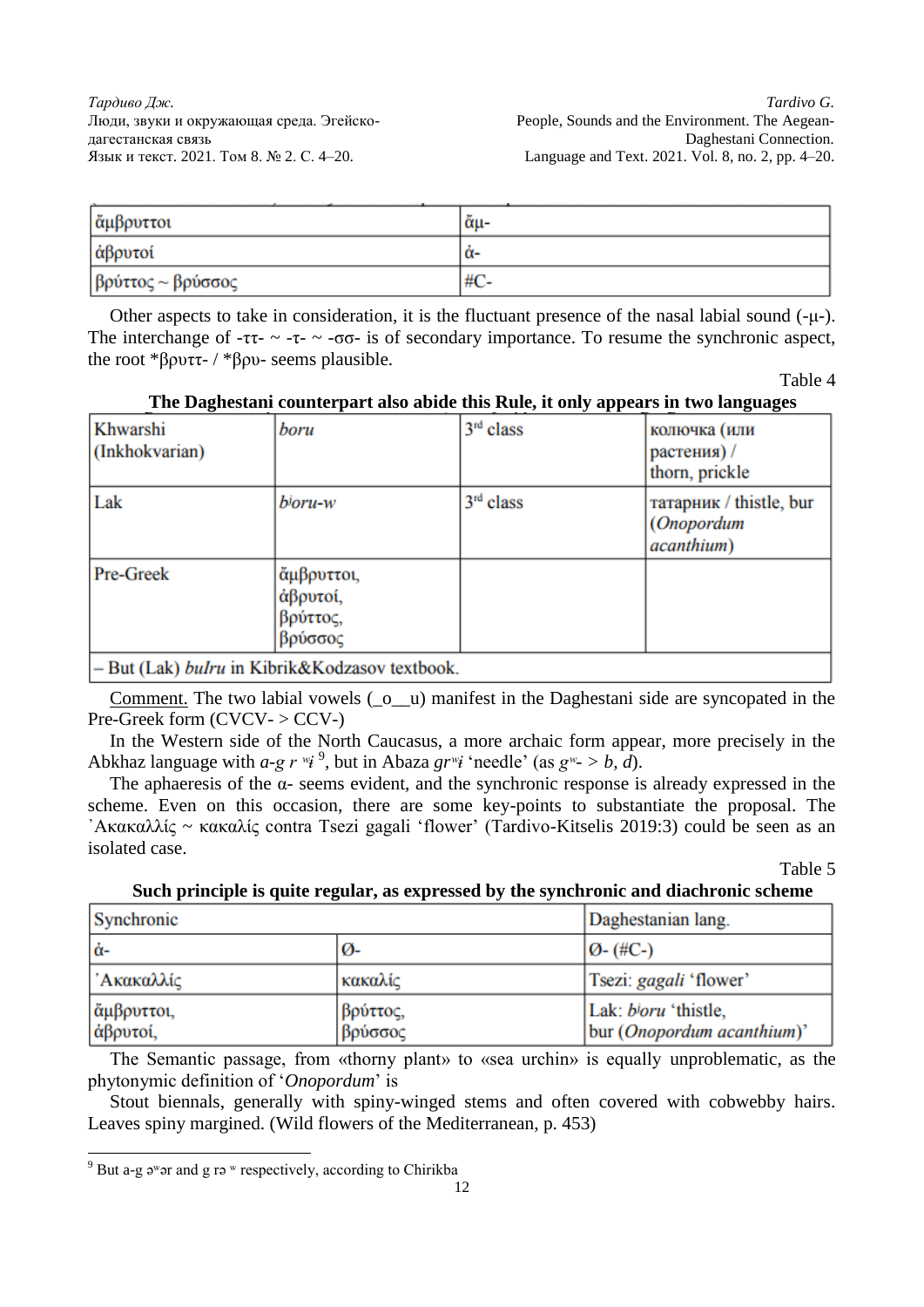| αμβρυττοι                | ἄμ- |
|--------------------------|-----|
| αβρυτοί                  | α-  |
| $\beta$ ρύττος ~ βρύσσος | #C- |

Other aspects to take in consideration, it is the fluctuant presence of the nasal labial sound (-μ-). The interchange of  $-\tau$ - $-\tau$ - $-\sigma$ - $\sigma$ - is of secondary importance. To resume the synchronic aspect, the root \*βρυττ- / \*βρυ- seems plausible.

Table 4

| $\sim$ $\sim$ $\sim$ $\sim$ $\sim$ $\sim$ $\sim$ $\sim$<br>$=$ $\frac{1}{2}$ $\frac{1}{2}$ $\frac{1}{2}$ $\frac{1}{2}$ $\frac{1}{2}$ $\frac{1}{2}$ $\frac{1}{2}$ $\frac{1}{2}$ $\frac{1}{2}$ $\frac{1}{2}$ $\frac{1}{2}$ $\frac{1}{2}$ $\frac{1}{2}$ $\frac{1}{2}$ $\frac{1}{2}$ $\frac{1}{2}$ $\frac{1}{2}$ $\frac{1}{2}$ $\frac{1}{2}$ $\frac{1}{2}$ $\frac{1}{2}$ $\frac{1}{2$ |                                                       |             |                                                                     |  |
|-----------------------------------------------------------------------------------------------------------------------------------------------------------------------------------------------------------------------------------------------------------------------------------------------------------------------------------------------------------------------------------|-------------------------------------------------------|-------------|---------------------------------------------------------------------|--|
| Khwarshi<br>(Inkhokvarian)                                                                                                                                                                                                                                                                                                                                                        | boru                                                  | $3rd$ class | колючка (или<br>растения) /<br>thorn, prickle                       |  |
| Lak                                                                                                                                                                                                                                                                                                                                                                               | b <sup>j</sup> oru-w                                  | $3rd$ class | татарник / thistle, bur<br>( <i>Onopordum</i><br><i>acanthium</i> ) |  |
| Pre-Greek                                                                                                                                                                                                                                                                                                                                                                         | <b>ἄμβρυττοι</b> ,<br>άβρυτοί,<br>βρύττος,<br>βρύσσος |             |                                                                     |  |
| - But (Lak) bulru in Kibrik&Kodzasov textbook.                                                                                                                                                                                                                                                                                                                                    |                                                       |             |                                                                     |  |

**The Daghestani counterpart also abide this Rule, it only appears in two languages**

Comment. The two labial vowels  $(\_0 \_u)$  manifest in the Daghestani side are syncopated in the Pre-Greek form  $(CVCV- > CCV-)$ 

In the Western side of the North Caucasus, a more archaic form appear, more precisely in the Abkhaz language with  $a$ -g  $r^{w}i^{9}$ , but in Abaza  $gr^{w}i$  'needle' (as  $g^{w} > b$ , d).

The aphaeresis of the  $\alpha$ - seems evident, and the synchronic response is already expressed in the scheme. Even on this occasion, there are some key-points to substantiate the proposal. The ᾿Ακακαλλίς ~ κακαλίς contra Tsezi gagali 'flower' (Tardivo-Kitselis 2019:3) could be seen as an isolated case.

Table 5

## **Such principle is quite regular, as expressed by the synchronic and diachronic scheme**

| Synchronic             | Daghestanian lang.  |                                                    |
|------------------------|---------------------|----------------------------------------------------|
| lά-                    | ø-                  | $ O-(\#C-)$                                        |
| 'Ακακαλλίς             | κακαλίς             | Tsezi: gagali 'flower'                             |
| άμβρυττοι,<br>άβρυτοί, | βρύττος,<br>βρύσσος | Lak: bloru 'thistle,<br>bur (Onopordum acanthium)' |

The Semantic passage, from «thorny plant» to «sea urchin» is equally unproblematic, as the phytonymic definition of '*Onopordum*' is

Stout biennals, generally with spiny-winged stems and often covered with cobwebby hairs. Leaves spiny margined. (Wild flowers of the Mediterranean, p. 453)

 $9^9$  But a-g  $9^w$  ar and g ra w respectively, according to Chirikba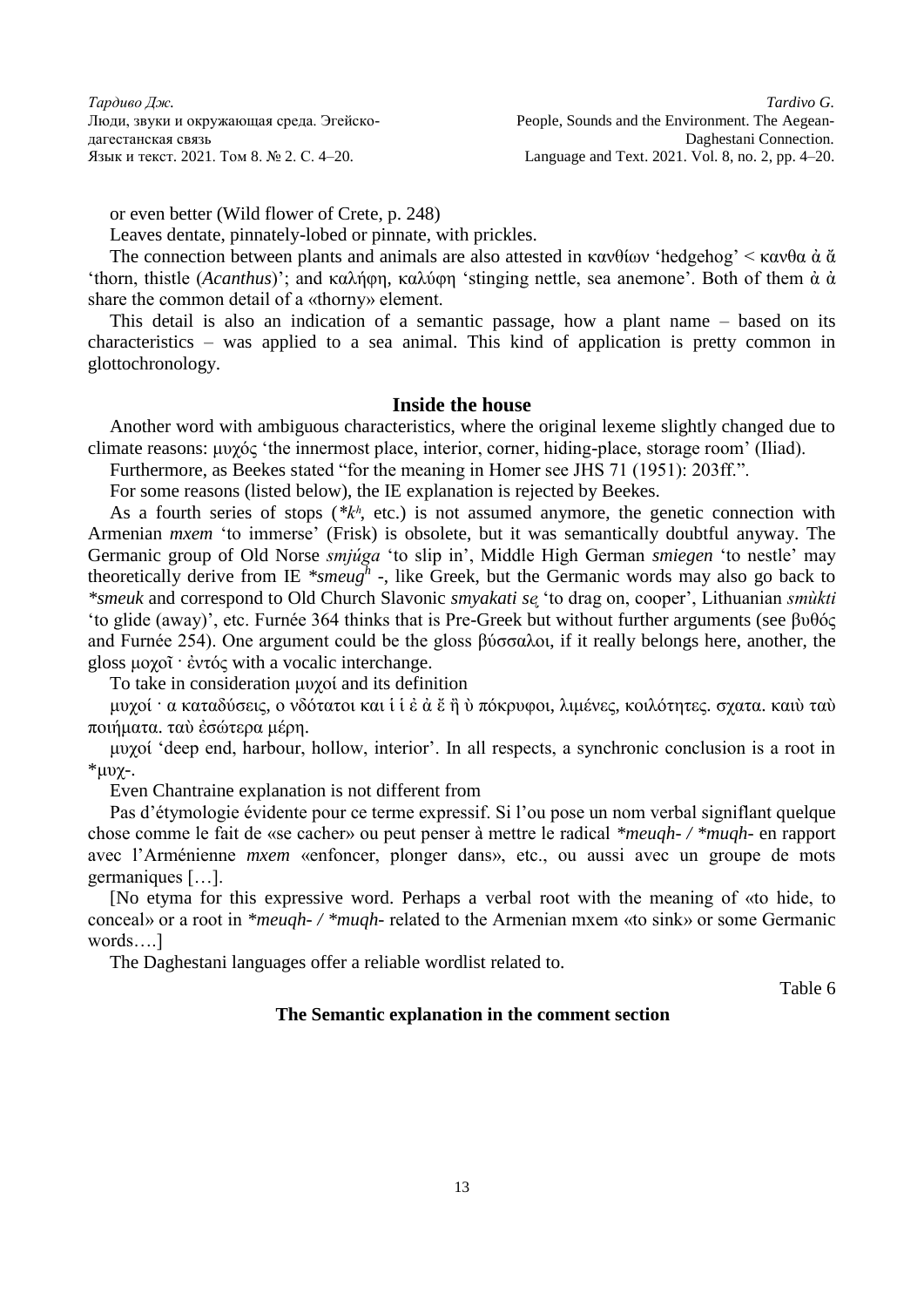or even better (Wild flower of Crete, p. 248)

Leaves dentate, pinnately-lobed or pinnate, with prickles.

The connection between plants and animals are also attested in κανθίων 'hedgehog'  $\lt$  κανθα ἀ ἄ 'thorn, thistle (*Acanthus*)'; and καλήφη, καλύφη 'stinging nettle, sea anemone'. Both of them ἀ ἀ share the common detail of a «thorny» element.

This detail is also an indication of a semantic passage, how a plant name – based on its characteristics – was applied to a sea animal. This kind of application is pretty common in glottochronology.

## **Inside the house**

Another word with ambiguous characteristics, where the original lexeme slightly changed due to climate reasons: μυχός 'the innermost place, interior, corner, hiding-place, storage room' (Iliad).

Furthermore, as Beekes stated "for the meaning in Homer see JHS 71 (1951): 203ff.".

For some reasons (listed below), the IE explanation is rejected by Beekes.

As a fourth series of stops (\*k<sup>h</sup>, etc.) is not assumed anymore, the genetic connection with Armenian *mxem* 'to immerse' (Frisk) is obsolete, but it was semantically doubtful anyway. The Germanic group of Old Norse *smjúga* 'to slip in', Middle High German *smiegen* 'to nestle' may theoretically derive from IE *\*smeug<sup>h</sup>* -, like Greek, but the Germanic words may also go back to *\*smeuk* and correspond to Old Church Slavonic *smyakati sᶒ* 'to drag on, cooper', Lithuanian *smùkti* 'to glide (away)', etc. Furnée 364 thinks that is Pre-Greek but without further arguments (see βυθός and Furnée 254). One argument could be the gloss βύσσαλοι, if it really belongs here, another, the gloss μοχοῖ · ἐντός with a vocalic interchange.

To take in consideration μυχοί and its definition

μυχοί · α καταδύσεις, ο νδότατοι και ἱ ἱ ἐ ἀ ἔ ἢ ὺ πόκρυφοι, λιμένες, κοιλότητες. σχατα. καιὺ ταὺ ποιήματα. ταὺ ἐσώτερα μέρη.

μυχοί 'deep end, harbour, hollow, interior'. In all respects, a synchronic conclusion is a root in \*μυχ-.

Even Chantraine explanation is not different from

Pas d'étymologie évidente pour ce terme expressif. Si l'ou pose un nom verbal signiflant quelque chose comme le fait de «se cacher» ou peut penser à mettre le radical *\*meuqh- / \*muqh-* en rapport avec l'Arménienne *mxem* «enfoncer, plonger dans», etc., ou aussi avec un groupe de mots germaniques […].

[No etyma for this expressive word. Perhaps a verbal root with the meaning of «to hide, to conceal» or a root in *\*meuqh- / \*muqh-* related to the Armenian mxem «to sink» or some Germanic words….]

The Daghestani languages offer a reliable wordlist related to.

Table 6

## **The Semantic explanation in the comment section**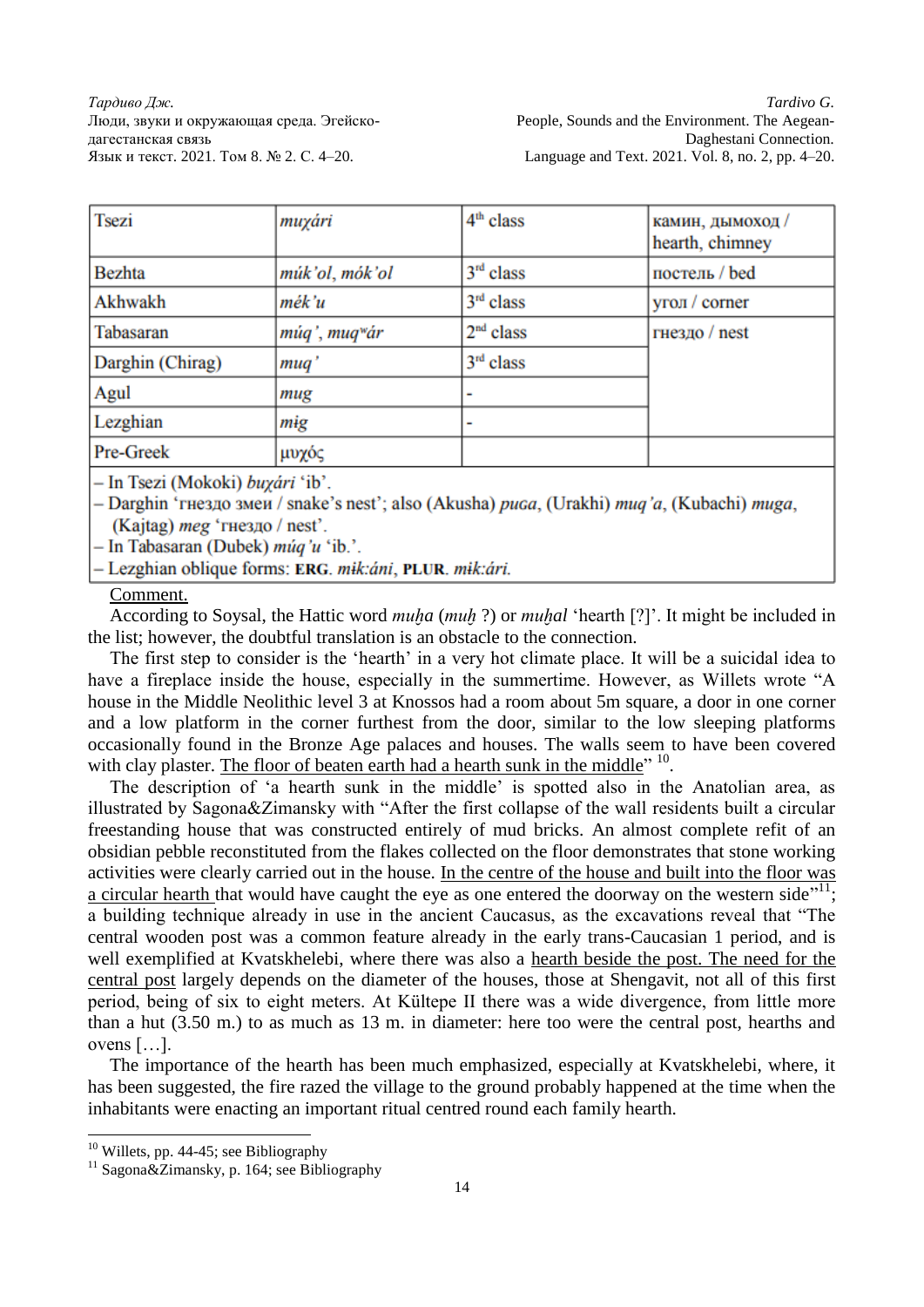| <b>Tsezi</b>                     | muxári                    | $4th$ class | камин, дымоход /<br>hearth, chimney |  |
|----------------------------------|---------------------------|-------------|-------------------------------------|--|
| <b>Bezhta</b>                    | múk'ol, mók'ol            | $3rd$ class | постель / bed                       |  |
| Akhwakh                          | mék'u                     | $3rd$ class | угол / corner                       |  |
| Tabasaran                        | múq', muq <sup>w</sup> ár | $2nd$ class | гнездо / nest                       |  |
| Darghin (Chirag)                 | muq'                      | $3rd$ class |                                     |  |
| Agul                             | mug                       |             |                                     |  |
| Lezghian                         | mig                       |             |                                     |  |
| Pre-Greek                        | μυχός                     |             |                                     |  |
| - In Tsezi (Mokoki) buxári 'ib'. |                           |             |                                     |  |

- Darghin 'rue340 3Meu / snake's nest'; also (Akusha) puga, (Urakhi) mug'a, (Kubachi) muga, (Kajtag) *meg* 'гнездо / nest'.

- In Tabasaran (Dubek) *múq'u* 'ib.'.

- Lezghian oblique forms: ERG. mik:áni, PLUR. mik:ári.

## Comment.

According to Soysal, the Hattic word *muḫa* (*muḫ* ?) or *muḫal* 'hearth [?]'. It might be included in the list; however, the doubtful translation is an obstacle to the connection.

The first step to consider is the 'hearth' in a very hot climate place. It will be a suicidal idea to have a fireplace inside the house, especially in the summertime. However, as Willets wrote "A house in the Middle Neolithic level 3 at Knossos had a room about 5m square, a door in one corner and a low platform in the corner furthest from the door, similar to the low sleeping platforms occasionally found in the Bronze Age palaces and houses. The walls seem to have been covered with clay plaster. The floor of beaten earth had a hearth sunk in the middle"  $10$ .

The description of 'a hearth sunk in the middle' is spotted also in the Anatolian area, as illustrated by Sagona&Zimansky with "After the first collapse of the wall residents built a circular freestanding house that was constructed entirely of mud bricks. An almost complete refit of an obsidian pebble reconstituted from the flakes collected on the floor demonstrates that stone working activities were clearly carried out in the house. In the centre of the house and built into the floor was a circular hearth that would have caught the eye as one entered the doorway on the western side<sup> $11$ </sup>; a building technique already in use in the ancient Caucasus, as the excavations reveal that "The central wooden post was a common feature already in the early trans-Caucasian 1 period, and is well exemplified at Kvatskhelebi, where there was also a hearth beside the post. The need for the central post largely depends on the diameter of the houses, those at Shengavit, not all of this first period, being of six to eight meters. At Kültepe II there was a wide divergence, from little more than a hut (3.50 m.) to as much as 13 m. in diameter: here too were the central post, hearths and ovens […].

The importance of the hearth has been much emphasized, especially at Kvatskhelebi, where, it has been suggested, the fire razed the village to the ground probably happened at the time when the inhabitants were enacting an important ritual centred round each family hearth.

 $10$  Willets, pp. 44-45; see Bibliography

<sup>&</sup>lt;sup>11</sup> Sagona&Zimansky, p. 164; see Bibliography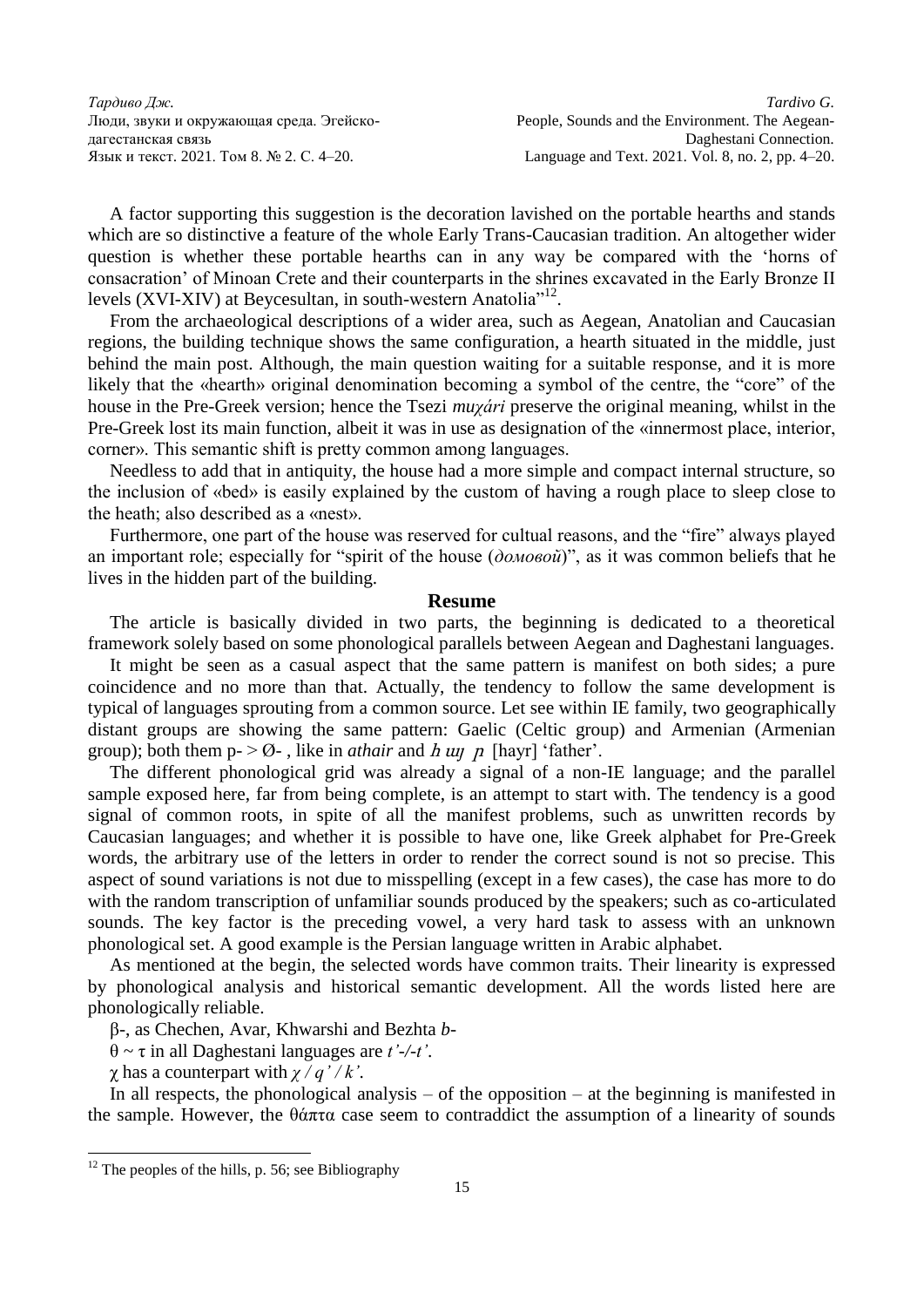A factor supporting this suggestion is the decoration lavished on the portable hearths and stands which are so distinctive a feature of the whole Early Trans-Caucasian tradition. An altogether wider question is whether these portable hearths can in any way be compared with the 'horns of consacration' of Minoan Crete and their counterparts in the shrines excavated in the Early Bronze II levels (XVI-XIV) at Beycesultan, in south-western Anatolia<sup>"12</sup>.

From the archaeological descriptions of a wider area, such as Aegean, Anatolian and Caucasian regions, the building technique shows the same configuration, a hearth situated in the middle, just behind the main post. Although, the main question waiting for a suitable response, and it is more likely that the «hearth» original denomination becoming a symbol of the centre, the "core" of the house in the Pre-Greek version; hence the Tsezi *muχári* preserve the original meaning, whilst in the Pre-Greek lost its main function, albeit it was in use as designation of the «innermost place, interior, corner». This semantic shift is pretty common among languages.

Needless to add that in antiquity, the house had a more simple and compact internal structure, so the inclusion of «bed» is easily explained by the custom of having a rough place to sleep close to the heath; also described as a «nest».

Furthermore, one part of the house was reserved for cultual reasons, and the "fire" always played an important role; especially for "spirit of the house (*домовой*)", as it was common beliefs that he lives in the hidden part of the building.

#### **Resume**

The article is basically divided in two parts, the beginning is dedicated to a theoretical framework solely based on some phonological parallels between Aegean and Daghestani languages.

It might be seen as a casual aspect that the same pattern is manifest on both sides; a pure coincidence and no more than that. Actually, the tendency to follow the same development is typical of languages sprouting from a common source. Let see within IE family, two geographically distant groups are showing the same pattern: Gaelic (Celtic group) and Armenian (Armenian group); both them  $p > 0$ -, like in *athair* and *h*  $u\eta$  *p* [hayr] 'father'.

The different phonological grid was already a signal of a non-IE language; and the parallel sample exposed here, far from being complete, is an attempt to start with. The tendency is a good signal of common roots, in spite of all the manifest problems, such as unwritten records by Caucasian languages; and whether it is possible to have one, like Greek alphabet for Pre-Greek words, the arbitrary use of the letters in order to render the correct sound is not so precise. This aspect of sound variations is not due to misspelling (except in a few cases), the case has more to do with the random transcription of unfamiliar sounds produced by the speakers; such as co-articulated sounds. The key factor is the preceding vowel, a very hard task to assess with an unknown phonological set. A good example is the Persian language written in Arabic alphabet.

As mentioned at the begin, the selected words have common traits. Their linearity is expressed by phonological analysis and historical semantic development. All the words listed here are phonologically reliable.

β-, as Chechen, Avar, Khwarshi and Bezhta *b-*

θ ~ τ in all Daghestani languages are *t'-/-t'*.

χ has a counterpart with *χ / q' / k'*.

In all respects, the phonological analysis – of the opposition – at the beginning is manifested in the sample. However, the  $\theta \hat{\alpha} \pi \tau \alpha$  case seem to contraddict the assumption of a linearity of sounds

 $12$  The peoples of the hills, p. 56; see Bibliography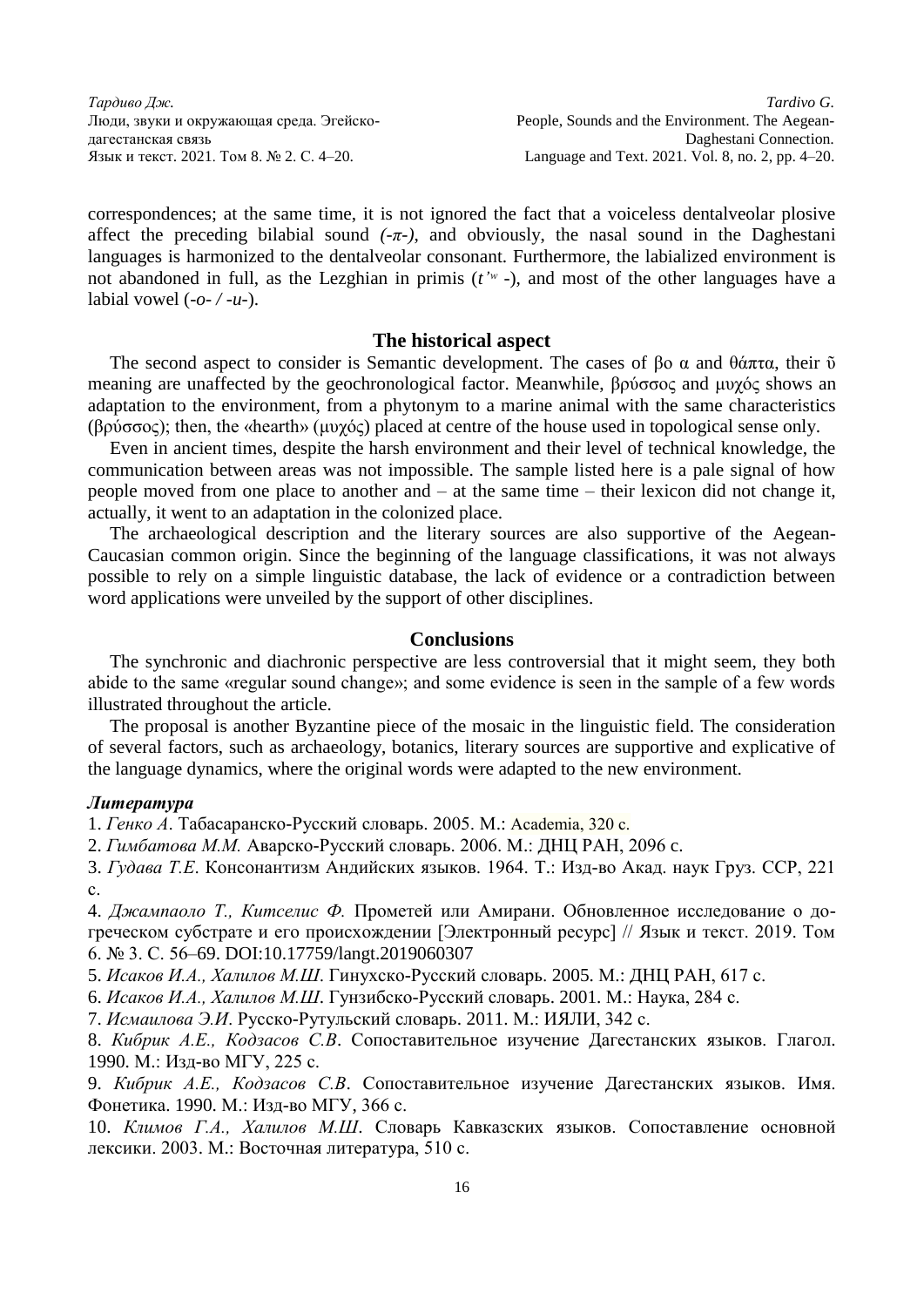correspondences; at the same time, it is not ignored the fact that a voiceless dentalveolar plosive affect the preceding bilabial sound  $(-\pi)$ , and obviously, the nasal sound in the Daghestani languages is harmonized to the dentalveolar consonant. Furthermore, the labialized environment is not abandoned in full, as the Lezghian in primis (*t'ʷ -*), and most of the other languages have a labial vowel  $(-0)$   $(u)$ .

#### **The historical aspect**

The second aspect to consider is Semantic development. The cases of  $\beta$ o  $\alpha$  and θάπτα, their  $\tilde{\upsilon}$ meaning are unaffected by the geochronological factor. Meanwhile, βρύσσος and μυχός shows an adaptation to the environment, from a phytonym to a marine animal with the same characteristics (βρύσσος); then, the «hearth» (μυχός) placed at centre of the house used in topological sense only.

Even in ancient times, despite the harsh environment and their level of technical knowledge, the communication between areas was not impossible. The sample listed here is a pale signal of how people moved from one place to another and – at the same time – their lexicon did not change it, actually, it went to an adaptation in the colonized place.

The archaeological description and the literary sources are also supportive of the Aegean-Caucasian common origin. Since the beginning of the language classifications, it was not always possible to rely on a simple linguistic database, the lack of evidence or a contradiction between word applications were unveiled by the support of other disciplines.

## **Conclusions**

The synchronic and diachronic perspective are less controversial that it might seem, they both abide to the same «regular sound change»; and some evidence is seen in the sample of a few words illustrated throughout the article.

The proposal is another Byzantine piece of the mosaic in the linguistic field. The consideration of several factors, such as archaeology, botanics, literary sources are supportive and explicative of the language dynamics, where the original words were adapted to the new environment.

#### *Литература*

1. *Генко А*. Табасаранско-Русский словарь. 2005. М.: Academia, 320 с.

2. *Гимбатова М.М.* Аварско-Русский словарь. 2006. М.: ДНЦ РАН, 2096 c.

3. *Гудава Т.Е*. Консонантизм Андийских языков. 1964. Т.: Изд-во Акад. наук Груз. ССР, 221 с.

4. *Джампаоло Т., Китселис Ф.* Прометей или Амирани. Обновленное исследование о догреческом субстрате и его происхождении [Электронный ресурс] // Язык и текст. 2019. Том 6. № 3. С. 56–69. DOI:10.17759/langt.2019060307

5. *Исаков И.А., Халилов М.Ш*. Гинухско-Русский словарь. 2005. М.: ДНЦ РАН, 617 с.

6. *Исаков И.А., Халилов М.Ш*. Гунзибско-Русский словарь. 2001. М.: Наука, 284 с.

7. *Исмаилова Э.И*. Русско-Рутульский словарь. 2011. М.: ИЯЛИ, 342 с.

8. *Кибрик А.Е., Кодзасов С.В*. Сопоставительное изучение Дагестанских языков. Глагол. 1990. М.: Изд-во МГУ, 225 с.

9. *Кибрик А.Е., Кодзасов С.В*. Сопоставительное изучение Дагестанских языков. Имя. Фонетика. 1990. М.: Изд-во МГУ, 366 с.

10. *Климов Г.А., Халилов М.Ш*. Словарь Кавказских языков. Сопоставление основной лексики. 2003. М.: Восточная литература, 510 с.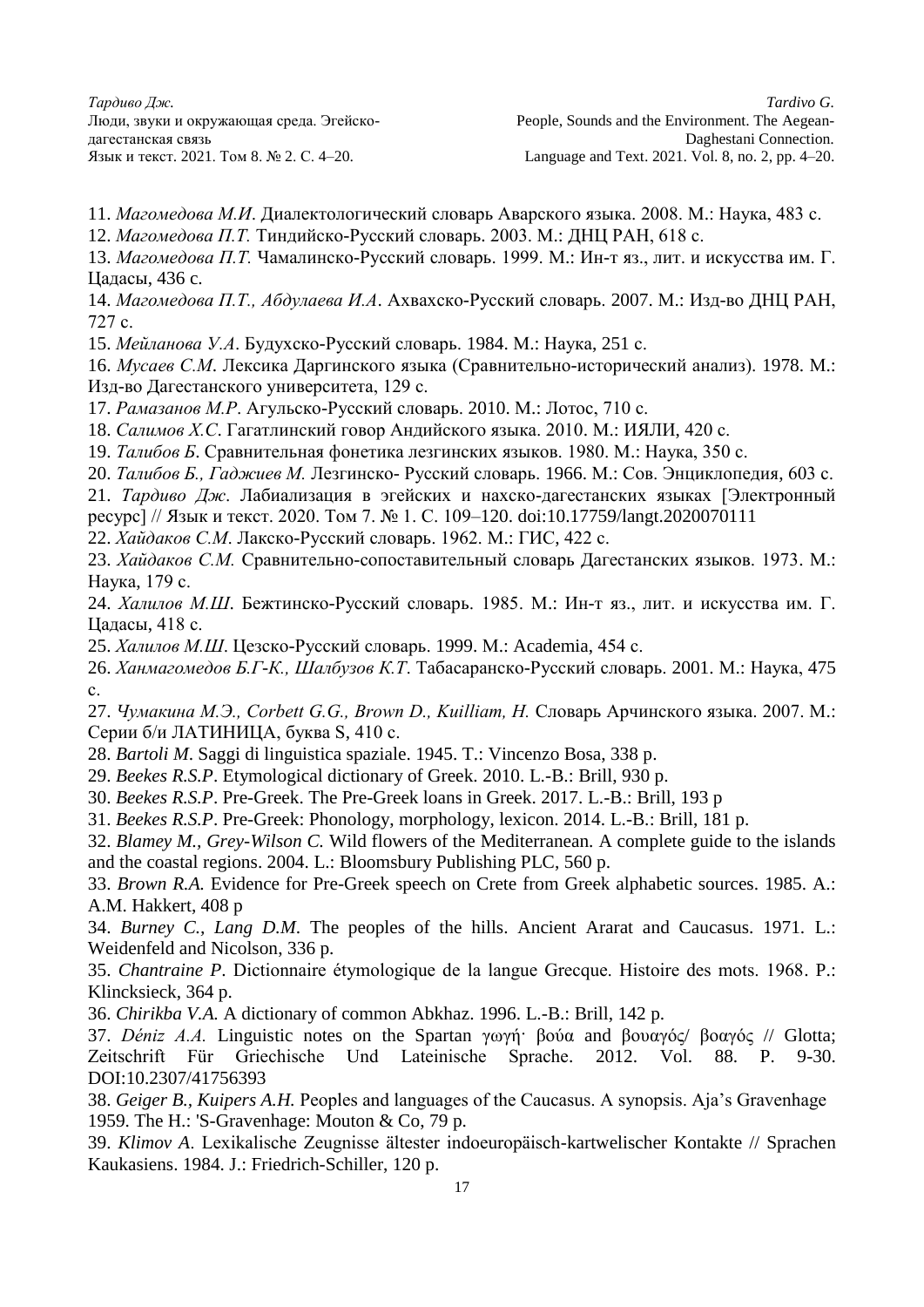- 11. *Магомедова М.И*. Диалектологический словарь Аварского языка. 2008. М.: Наука, 483 с.
- 12. *Магомедова П.Т.* Тиндийско-Русский словарь. 2003. М.: ДНЦ РАН, 618 с.
- 13. *Магомедова П.Т.* Чамалинско-Русский словарь. 1999. М.: Ин-т яз., лит. и искусства им. Г. Цадасы, 436 c.
- 14. *Магомедова П.Т., Абдулаева И.А*. Ахвахско-Русский словарь. 2007. М.: Изд-во ДНЦ РАН, 727 с.
- 15. *Мейланова У.А*. Будухско-Русский словарь. 1984. М.: Наука, 251 с.
- 16. *Мусаев С.М*. Лексика Даргинского языка (Сравнительно-исторический анализ). 1978. М.: Изд-во Дагестанского университета, 129 с.
- 17. *Рамазанов М.Р*. Агульско-Русский словарь. 2010. М.: Лотос, 710 с.
- 18. *Салимов Х.С*. Гагатлинский говор Андийского языка. 2010. М.: ИЯЛИ, 420 с.
- 19. *Талибов Б*. Сравнительная фонетика лезгинских языков. 1980. М.: Наука, 350 с.
- 20. *Талибов Б., Гаджиев М.* Лезгинско- Русский словарь. 1966. М.: Сов. Энциклопедия, 603 с.
- 21. *Тардиво Дж*. Лабиализация в эгейских и нахско-дагестанских языках [Электронный
- ресурс] // Язык и текст. 2020. Том 7. № 1. С. 109–120. doi:10.17759/langt.2020070111
- 22. *Хайдаков С.М*. Лакско-Русский словарь. 1962. М.: ГИС, 422 с.
- 23. *Хайдаков С.М.* Сравнительно-сопоставительный словарь Дагестанских языков. 1973. М.: Наука, 179 с.
- 24. *Халилов М.Ш*. Бежтинско-Русский словарь. 1985. М.: Ин-т яз., лит. и искусства им. Г. Цадасы, 418 с.
- 25. *Халилов М.Ш*. Цезско-Русский словарь. 1999. М.: Academia, 454 с.
- 26. *Ханмагомедов Б.Г-К., Шалбузов К.Т*. Табасаранско-Русский словарь. 2001. М.: Наука, 475 с.
- 27. *Чумакина М.Э., Corbett G.G., Brown D., Kuilliam, H.* Словарь Арчинского языка. 2007. М.: Серии б/и ЛАТИНИЦА, буква S, 410 с.
- 28. *Bartoli M*. Saggi di linguistica spaziale. 1945. T.: Vincenzo Bosa, 338 p.
- 29. *Beekes R.S.P*. Etymological dictionary of Greek. 2010. L.-B.: Brill, 930 p.
- 30. *Beekes R.S.P*. Pre-Greek. The Pre-Greek loans in Greek. 2017. L.-B.: Brill, 193 p
- 31. *Beekes R.S.P*. Pre-Greek: Phonology, morphology, lexicon. 2014. L.-B.: Brill, 181 p.
- 32. *Blamey M., Grey-Wilson C.* Wild flowers of the Mediterranean. A complete guide to the islands and the coastal regions. 2004. L.: Bloomsbury Publishing PLC, 560 p.
- 33. *Brown R.A.* Evidence for Pre-Greek speech on Crete from Greek alphabetic sources. 1985. A.: A.M. Hakkert, 408 p
- 34. *Burney C., Lang D.M*. The peoples of the hills. Ancient Ararat and Caucasus. 1971. L.: Weidenfeld and Nicolson, 336 p.
- 35. *Chantraine P*. Dictionnaire étymologique de la langue Grecque. Histoire des mots. 1968. P.: Klincksieck, 364 p.
- 36. *Chirikba V.A.* A dictionary of common Abkhaz. 1996. L.-B.: Brill, 142 p.
- 37. *Déniz A.A.* Linguistic notes on the Spartan γωγή· βούα and βουαγός/ βοαγός // Glotta; Zeitschrift Für Griechische Und Lateinische Sprache. 2012. Vol. 88. P. 9-30. DOI:10.2307/41756393
- 38. *Geiger B., Kuipers A.H.* Peoples and languages of the Caucasus. A synopsis. Aja's Gravenhage 1959. The H.: 'S-Gravenhage: Mouton & Co, 79 p.
- 39. *Klimov A*. Lexikalische Zeugnisse ältester indoeuropäisch-kartwelischer Kontakte // Sprachen Kaukasiens. 1984. J.: Friedrich-Schiller, 120 p.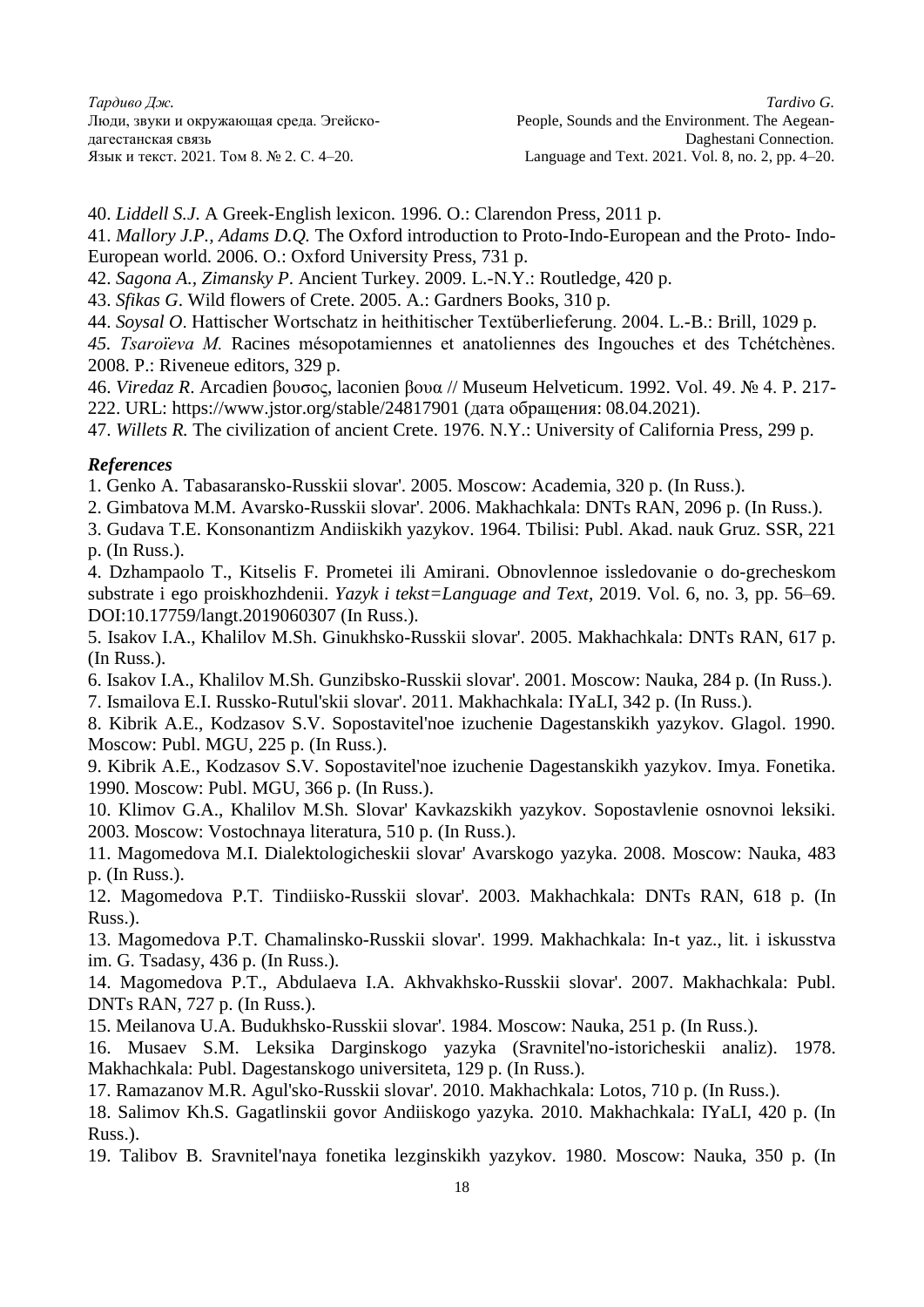40. *Liddell S.J*. A Greek-English lexicon. 1996. O.: Clarendon Press, 2011 p.

41. *Mallory J.P., Adams D.Q.* The Oxford introduction to Proto-Indo-European and the Proto- Indo-European world. 2006. O.: Oxford University Press, 731 p.

42. *Sagona A., Zimansky P*. Ancient Turkey. 2009. L.-N.Y.: Routledge, 420 p.

43. *Sfikas G*. Wild flowers of Crete. 2005. A.: Gardners Books, 310 p.

44. *Soysal O*. Hattischer Wortschatz in heithitischer Textüberlieferung. 2004. L.-B.: Brill, 1029 p.

*45. Tsaroïeva M.* Racines mésopotamiennes et anatoliennes des Ingouches et des Tchétchènes. 2008. P.: Riveneue editors, 329 p.

46. *Viredaz R*. Arcadien βουσος, laconien βουα // Museum Helveticum. 1992. Vol. 49. № 4. P. 217- 222. URL: https://www.jstor.org/stable/24817901 (дата обращения: 08.04.2021).

47. *Willets R.* The civilization of ancient Crete. 1976. N.Y.: University of California Press, 299 p.

## *References*

1. Genko A. Tabasaransko-Russkii slovar'. 2005. Moscow: Academia, 320 p. (In Russ.).

- 2. Gimbatova M.M. Avarsko-Russkii slovar'. 2006. Makhachkala: DNTs RAN, 2096 p. (In Russ.).
- 3. Gudava T.E. Konsonantizm Andiiskikh yazykov. 1964. Tbilisi: Publ. Akad. nauk Gruz. SSR, 221 p. (In Russ.).

4. Dzhampaolo T., Kitselis F. Prometei ili Amirani. Obnovlennoe issledovanie o do-grecheskom substrate i ego proiskhozhdenii. *Yazyk i tekst=Language and Text*, 2019. Vol. 6, no. 3, pp. 56–69. DOI:10.17759/langt.2019060307 (In Russ.).

5. Isakov I.A., Khalilov M.Sh. Ginukhsko-Russkii slovar'. 2005. Makhachkala: DNTs RAN, 617 p. (In Russ.).

6. Isakov I.A., Khalilov M.Sh. Gunzibsko-Russkii slovar'. 2001. Moscow: Nauka, 284 p. (In Russ.). 7. Ismailova E.I. Russko-Rutul'skii slovar'. 2011. Makhachkala: IYaLI, 342 p. (In Russ.).

8. Kibrik A.E., Kodzasov S.V. Sopostavitel'noe izuchenie Dagestanskikh yazykov. Glagol. 1990. Moscow: Publ. MGU, 225 p. (In Russ.).

9. Kibrik A.E., Kodzasov S.V. Sopostavitel'noe izuchenie Dagestanskikh yazykov. Imya. Fonetika. 1990. Moscow: Publ. MGU, 366 p. (In Russ.).

10. Klimov G.A., Khalilov M.Sh. Slovar' Kavkazskikh yazykov. Sopostavlenie osnovnoi leksiki. 2003. Moscow: Vostochnaya literatura, 510 p. (In Russ.).

11. Magomedova M.I. Dialektologicheskii slovar' Avarskogo yazyka. 2008. Moscow: Nauka, 483 p. (In Russ.).

12. Magomedova P.T. Tindiisko-Russkii slovar'. 2003. Makhachkala: DNTs RAN, 618 p. (In Russ.).

13. Magomedova P.T. Chamalinsko-Russkii slovar'. 1999. Makhachkala: In-t yaz., lit. i iskusstva im. G. Tsadasy, 436 p. (In Russ.).

14. Magomedova P.T., Abdulaeva I.A. Akhvakhsko-Russkii slovar'. 2007. Makhachkala: Publ. DNTs RAN, 727 p. (In Russ.).

15. Meilanova U.A. Budukhsko-Russkii slovar'. 1984. Moscow: Nauka, 251 p. (In Russ.).

16. Musaev S.M. Leksika Darginskogo yazyka (Sravnitel'no-istoricheskii analiz). 1978. Makhachkala: Publ. Dagestanskogo universiteta, 129 p. (In Russ.).

17. Ramazanov M.R. Agul'sko-Russkii slovar'. 2010. Makhachkala: Lotos, 710 p. (In Russ.).

18. Salimov Kh.S. Gagatlinskii govor Andiiskogo yazyka. 2010. Makhachkala: IYaLI, 420 p. (In Russ.).

19. Talibov B. Sravnitel'naya fonetika lezginskikh yazykov. 1980. Moscow: Nauka, 350 p. (In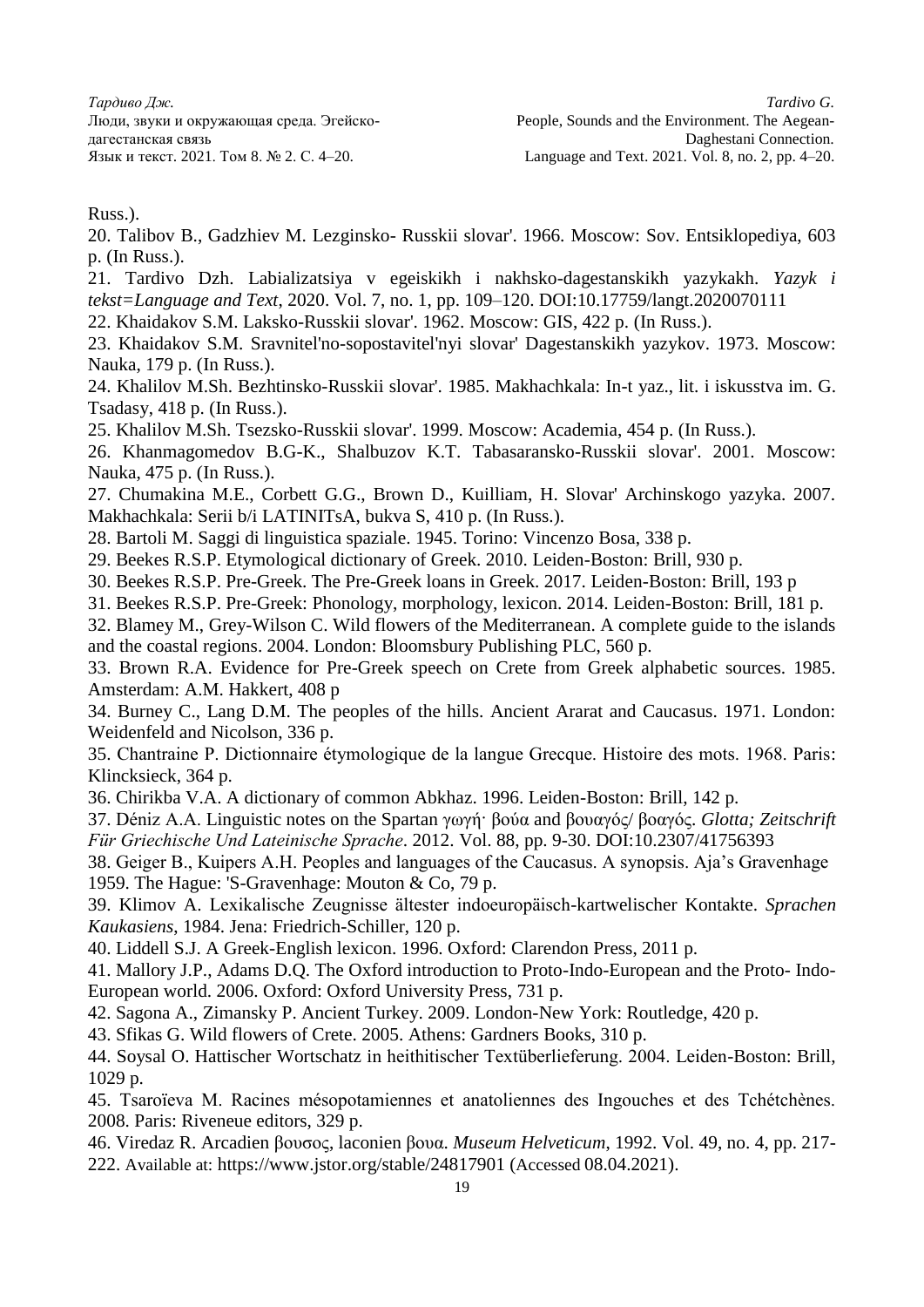Russ.).

20. Talibov B., Gadzhiev M. Lezginsko- Russkii slovar'. 1966. Moscow: Sov. Entsiklopediya, 603 p. (In Russ.).

21. Tardivo Dzh. Labializatsiya v egeiskikh i nakhsko-dagestanskikh yazykakh. *Yazyk i tekst=Language and Text*, 2020. Vol. 7, no. 1, pp. 109–120. DOI:10.17759/langt.2020070111

22. Khaidakov S.M. Laksko-Russkii slovar'. 1962. Moscow: GIS, 422 p. (In Russ.).

23. Khaidakov S.M. Sravnitel'no-sopostavitel'nyi slovar' Dagestanskikh yazykov. 1973. Moscow: Nauka, 179 p. (In Russ.).

24. Khalilov M.Sh. Bezhtinsko-Russkii slovar'. 1985. Makhachkala: In-t yaz., lit. i iskusstva im. G. Tsadasy, 418 p. (In Russ.).

25. Khalilov M.Sh. Tsezsko-Russkii slovar'. 1999. Moscow: Academia, 454 p. (In Russ.).

26. Khanmagomedov B.G-K., Shalbuzov K.T. Tabasaransko-Russkii slovar'. 2001. Moscow: Nauka, 475 p. (In Russ.).

27. Chumakina M.E., Corbett G.G., Brown D., Kuilliam, H. Slovar' Archinskogo yazyka. 2007. Makhachkala: Serii b/i LATINITsA, bukva S, 410 p. (In Russ.).

28. Bartoli M. Saggi di linguistica spaziale. 1945. Torino: Vincenzo Bosa, 338 p.

29. Beekes R.S.P. Etymological dictionary of Greek. 2010. Leiden-Boston: Brill, 930 p.

30. Beekes R.S.P. Pre-Greek. The Pre-Greek loans in Greek. 2017. Leiden-Boston: Brill, 193 p

31. Beekes R.S.P. Pre-Greek: Phonology, morphology, lexicon. 2014. Leiden-Boston: Brill, 181 p.

32. Blamey M., Grey-Wilson C. Wild flowers of the Mediterranean. A complete guide to the islands and the coastal regions. 2004. London: Bloomsbury Publishing PLC, 560 p.

33. Brown R.A. Evidence for Pre-Greek speech on Crete from Greek alphabetic sources. 1985. Amsterdam: A.M. Hakkert, 408 p

34. Burney C., Lang D.M. The peoples of the hills. Ancient Ararat and Caucasus. 1971. London: Weidenfeld and Nicolson, 336 p.

35. Chantraine P. Dictionnaire étymologique de la langue Grecque. Histoire des mots. 1968. Paris: Klincksieck, 364 p.

36. Chirikba V.A. A dictionary of common Abkhaz. 1996. Leiden-Boston: Brill, 142 p.

37. Déniz A.A. Linguistic notes on the Spartan γωγή· βούα and βουαγός/ βοαγός. *Glotta; Zeitschrift Für Griechische Und Lateinische Sprache*. 2012. Vol. 88, pp. 9-30. DOI:10.2307/41756393

38. Geiger B., Kuipers A.H. Peoples and languages of the Caucasus. A synopsis. Aja's Gravenhage 1959. The Hague: 'S-Gravenhage: Mouton & Co, 79 p.

39. Klimov A. Lexikalische Zeugnisse ältester indoeuropäisch-kartwelischer Kontakte. *Sprachen Kaukasiens*, 1984. Jena: Friedrich-Schiller, 120 p.

40. Liddell S.J. A Greek-English lexicon. 1996. Oxford: Clarendon Press, 2011 p.

41. Mallory J.P., Adams D.Q. The Oxford introduction to Proto-Indo-European and the Proto- Indo-European world. 2006. Oxford: Oxford University Press, 731 p.

42. Sagona A., Zimansky P. Ancient Turkey. 2009. London-New York: Routledge, 420 p.

43. Sfikas G. Wild flowers of Crete. 2005. Athens: Gardners Books, 310 p.

44. Soysal O. Hattischer Wortschatz in heithitischer Textüberlieferung. 2004. Leiden-Boston: Brill, 1029 p.

45. Tsaroïeva M. Racines mésopotamiennes et anatoliennes des Ingouches et des Tchétchènes. 2008. Paris: Riveneue editors, 329 p.

46. Viredaz R. Arcadien βουσος, laconien βουα. *Museum Helveticum*, 1992. Vol. 49, no. 4, pp. 217- 222. Available at: https://www.jstor.org/stable/24817901 (Accessed 08.04.2021).